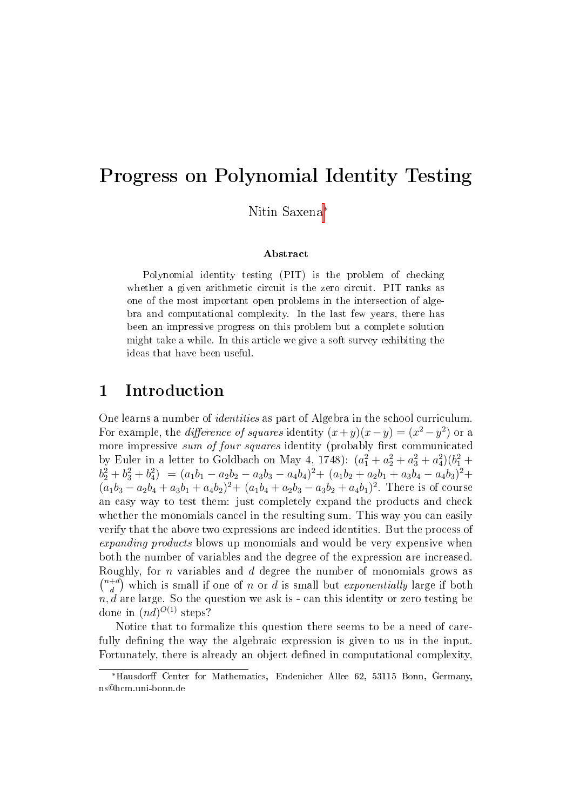# Progress on Polynomial Identity Testing

Nitin Saxena<sup>∗</sup>

#### Abstract

Polynomial identity testing (PIT) is the problem of checking whether a given arithmetic circuit is the zero circuit. PIT ranks as one of the most important open problems in the intersection of algebra and computational complexity. In the last few years, there has been an impressive progress on this problem but a complete solution might take a while. In this article we give a soft survey exhibiting the ideas that have been useful.

### 1 Introduction

One learns a number of identities as part of Algebra in the school curriculum. For example, the *difference of squares* identity  $(x+y)(x-y) = (x^2-y^2)$  or a more impressive sum of four squares identity (probably first communicated by Euler in a letter to Goldbach on May 4, 1748):  $(a_1^2 + a_2^2 + a_3^2 + a_4^2)(b_1^2 + b_2^2 + b_3^2)$  $b_2^2 + b_3^2 + b_4^2$  =  $(a_1b_1 - a_2b_2 - a_3b_3 - a_4b_4)^2 + (a_1b_2 + a_2b_1 + a_3b_4 - a_4b_3)^2 +$  $(a_1b_3 - a_2b_4 + a_3b_1 + a_4b_2)^2 + (a_1b_4 + a_2b_3 - a_3b_2 + a_4b_1)^2$ . There is of course an easy way to test them: just completely expand the products and check whether the monomials cancel in the resulting sum. This way you can easily verify that the above two expressions are indeed identities. But the process of expanding products blows up monomials and would be very expensive when both the number of variables and the degree of the expression are increased. Roughly, for n variables and d degree the number of monomials grows as  $\binom{n+d}{d}$  $\binom{+d}{d}$  which is small if one of n or d is small but exponentially large if both  $n, d$  are large. So the question we ask is - can this identity or zero testing be done in  $(nd)^{O(1)}$  steps?

Notice that to formalize this question there seems to be a need of carefully defining the way the algebraic expression is given to us in the input. Fortunately, there is already an object defined in computational complexity.

<sup>∗</sup>Hausdor Center for Mathematics, Endenicher Allee 62, 53115 Bonn, Germany, ns@hcm.uni-bonn.de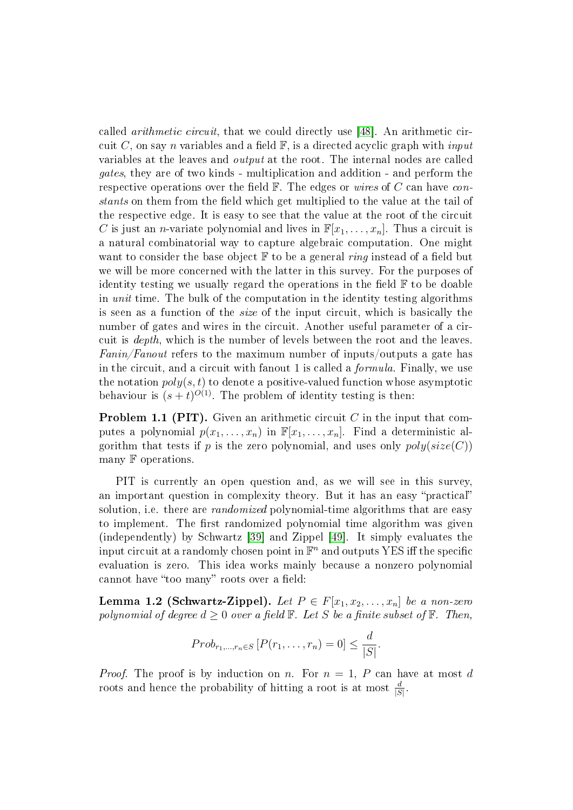called arithmetic circuit, that we could directly use [\[48\]](#page-29-0). An arithmetic circuit C, on say n variables and a field  $\mathbb{F}$ , is a directed acyclic graph with *input* variables at the leaves and output at the root. The internal nodes are called gates, they are of two kinds - multiplication and addition - and perform the respective operations over the field  $\mathbb{F}$ . The edges or wires of C can have constants on them from the field which get multiplied to the value at the tail of the respective edge. It is easy to see that the value at the root of the circuit C is just an *n*-variate polynomial and lives in  $\mathbb{F}[x_1, \ldots, x_n]$ . Thus a circuit is a natural combinatorial way to capture algebraic computation. One might want to consider the base object  $\mathbb F$  to be a general *ring* instead of a field but we will be more concerned with the latter in this survey. For the purposes of identity testing we usually regard the operations in the field  $\mathbb F$  to be doable in unit time. The bulk of the computation in the identity testing algorithms is seen as a function of the size of the input circuit, which is basically the number of gates and wires in the circuit. Another useful parameter of a circuit is depth, which is the number of levels between the root and the leaves. Fanin/Fanout refers to the maximum number of inputs/outputs a gate has in the circuit, and a circuit with fanout 1 is called a *formula*. Finally, we use the notation  $poly(s, t)$  to denote a positive-valued function whose asymptotic behaviour is  $(s+t)^{O(1)}$ . The problem of identity testing is then:

**Problem 1.1 (PIT).** Given an arithmetic circuit C in the input that computes a polynomial  $p(x_1, \ldots, x_n)$  in  $\mathbb{F}[x_1, \ldots, x_n]$ . Find a deterministic algorithm that tests if p is the zero polynomial, and uses only  $poly(size(C))$ many F operations.

PIT is currently an open question and, as we will see in this survey, an important question in complexity theory. But it has an easy "practical" solution, i.e. there are *randomized* polynomial-time algorithms that are easy to implement. The first randomized polynomial time algorithm was given (independently) by Schwartz [\[39\]](#page-28-0) and Zippel [\[49\]](#page-29-1). It simply evaluates the input circuit at a randomly chosen point in  $\mathbb{F}^n$  and outputs YES iff the specific evaluation is zero. This idea works mainly because a nonzero polynomial cannot have "too many" roots over a field:

**Lemma 1.2 (Schwartz-Zippel).** Let  $P \in F[x_1, x_2, \ldots, x_n]$  be a non-zero polynomial of degree  $d \geq 0$  over a field  $\mathbb F$ . Let S be a finite subset of  $\mathbb F$ . Then,

$$
Prob_{r_1,\ldots,r_n\in S}\left[P(r_1,\ldots,r_n)=0\right]\leq \frac{d}{|S|}.
$$

*Proof.* The proof is by induction on n. For  $n = 1$ , P can have at most d roots and hence the probability of hitting a root is at most  $\frac{d}{|S|}$ .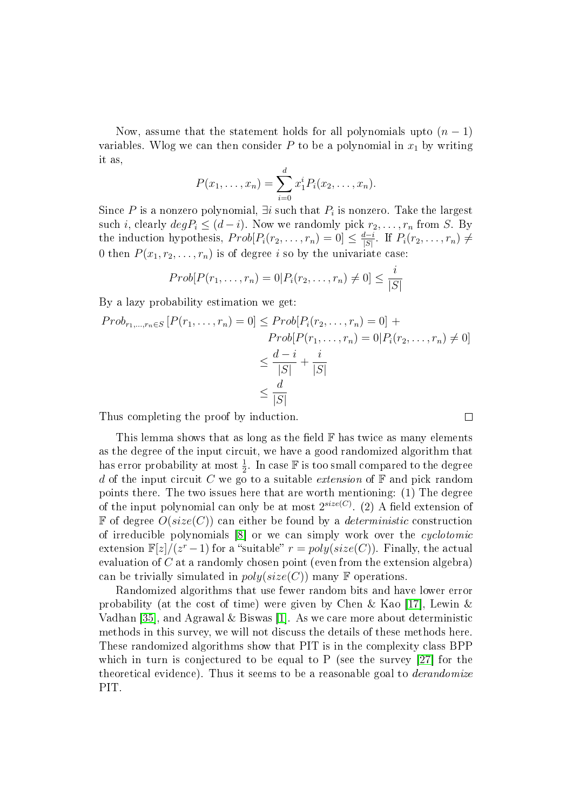Now, assume that the statement holds for all polynomials upto  $(n-1)$ variables. Wlog we can then consider P to be a polynomial in  $x_1$  by writing it as,

$$
P(x_1,...,x_n) = \sum_{i=0}^d x_1^i P_i(x_2,...,x_n).
$$

Since  $P$  is a nonzero polynomial, ∃ $i$  such that  $P_i$  is nonzero. Take the largest such *i*, clearly  $deg P_i \leq (d - i)$ . Now we randomly pick  $r_2, \ldots, r_n$  from *S*. By the induction hypothesis,  $Prob[P_i(r_2, \ldots, r_n) = 0] \leq \frac{d-i}{|S|}$  $\frac{d-i}{|S|}$ . If  $P_i(r_2,\ldots,r_n) \neq$ 0 then  $P(x_1, r_2, \ldots, r_n)$  is of degree i so by the univariate case:

$$
Prob[P(r_1,\ldots,r_n)=0|P_i(r_2,\ldots,r_n)\neq 0]\leq \frac{i}{|S|}
$$

By a lazy probability estimation we get:

$$
Prob_{r_1,\dots,r_n \in S} [P(r_1,\dots,r_n) = 0] \le Prob[P_i(r_2,\dots,r_n) = 0] +
$$

$$
Prob[P(r_1,\dots,r_n) = 0 | P_i(r_2,\dots,r_n) \neq 0]
$$

$$
\le \frac{d-i}{|S|} + \frac{i}{|S|}
$$

$$
\le \frac{d}{|S|}
$$

 $\Box$ 

Thus completing the proof by induction.

This lemma shows that as long as the field  $\mathbb F$  has twice as many elements as the degree of the input circuit, we have a good randomized algorithm that has error probability at most  $\frac{1}{2}$ . In case  $\mathbb F$  is too small compared to the degree d of the input circuit C we go to a suitable extension of  $\mathbb F$  and pick random points there. The two issues here that are worth mentioning: (1) The degree of the input polynomial can only be at most  $2^{size(C)}$ . (2) A field extension of  $\mathbb F$  of degree  $O(size(C))$  can either be found by a *deterministic* construction of irreducible polynomials [\[8\]](#page-26-0) or we can simply work over the cyclotomic extension  $\mathbb{F}[z]/(z^r-1)$  for a "suitable"  $r = poly(size(C))$ . Finally, the actual evaluation of  $C$  at a randomly chosen point (even from the extension algebra) can be trivially simulated in  $poly(size(C))$  many F operations.

Randomized algorithms that use fewer random bits and have lower error probability (at the cost of time) were given by Chen & Kao [\[17\]](#page-27-0), Lewin & Vadhan [\[35\]](#page-28-1), and Agrawal & Biswas [\[1\]](#page-25-0). As we care more about deterministic methods in this survey, we will not discuss the details of these methods here. These randomized algorithms show that PIT is in the complexity class BPP which in turn is conjectured to be equal to P (see the survey [\[27\]](#page-27-1) for the theoretical evidence). Thus it seems to be a reasonable goal to *derandomize* PIT.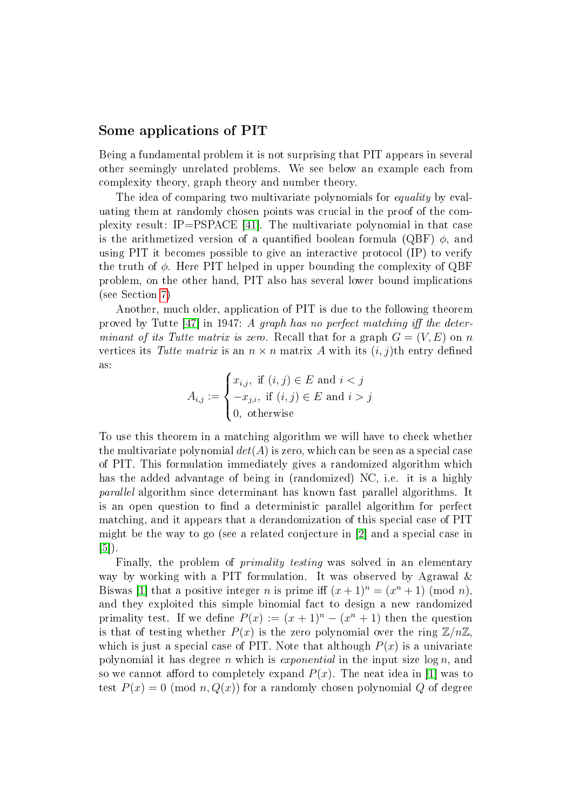#### Some applications of PIT

Being a fundamental problem it is not surprising that PIT appears in several other seemingly unrelated problems. We see below an example each from complexity theory, graph theory and number theory.

The idea of comparing two multivariate polynomials for *equality* by evaluating them at randomly chosen points was crucial in the proof of the complexity result: IP=PSPACE [\[41\]](#page-28-2). The multivariate polynomial in that case is the arithmetized version of a quantified boolean formula (QBF)  $\phi$ , and using PIT it becomes possible to give an interactive protocol (IP) to verify the truth of  $\phi$ . Here PIT helped in upper bounding the complexity of QBF problem, on the other hand, PIT also has several lower bound implications (see Section [7\)](#page-22-0)

Another, much older, application of PIT is due to the following theorem proved by Tutte  $[47]$  in 1947: A graph has no perfect matching iff the determinant of its Tutte matrix is zero. Recall that for a graph  $G = (V, E)$  on n vertices its Tutte matrix is an  $n \times n$  matrix A with its  $(i, j)$ th entry defined as:

$$
A_{i,j} := \begin{cases} x_{i,j}, \text{ if } (i,j) \in E \text{ and } i < j \\ -x_{j,i}, \text{ if } (i,j) \in E \text{ and } i > j \\ 0, \text{ otherwise} \end{cases}
$$

To use this theorem in a matching algorithm we will have to check whether the multivariate polynomial  $det(A)$  is zero, which can be seen as a special case of PIT. This formulation immediately gives a randomized algorithm which has the added advantage of being in (randomized) NC, i.e. it is a highly parallel algorithm since determinant has known fast parallel algorithms. It is an open question to find a deterministic parallel algorithm for perfect matching, and it appears that a derandomization of this special case of PIT might be the way to go (see a related conjecture in [\[2\]](#page-25-1) and a special case in [\[5\]](#page-26-1)).

Finally, the problem of *primality testing* was solved in an elementary way by working with a PIT formulation. It was observed by Agrawal & Biswas [\[1\]](#page-25-0) that a positive integer *n* is prime iff  $(x + 1)^n = (x^n + 1) \pmod{n}$ , and they exploited this simple binomial fact to design a new randomized primality test. If we define  $P(x) := (x + 1)^n - (x^n + 1)$  then the question is that of testing whether  $P(x)$  is the zero polynomial over the ring  $\mathbb{Z}/n\mathbb{Z}$ , which is just a special case of PIT. Note that although  $P(x)$  is a univariate polynomial it has degree n which is *exponential* in the input size  $\log n$ , and so we cannot afford to completely expand  $P(x)$ . The neat idea in [\[1\]](#page-25-0) was to test  $P(x) = 0 \pmod{n, Q(x)}$  for a randomly chosen polynomial Q of degree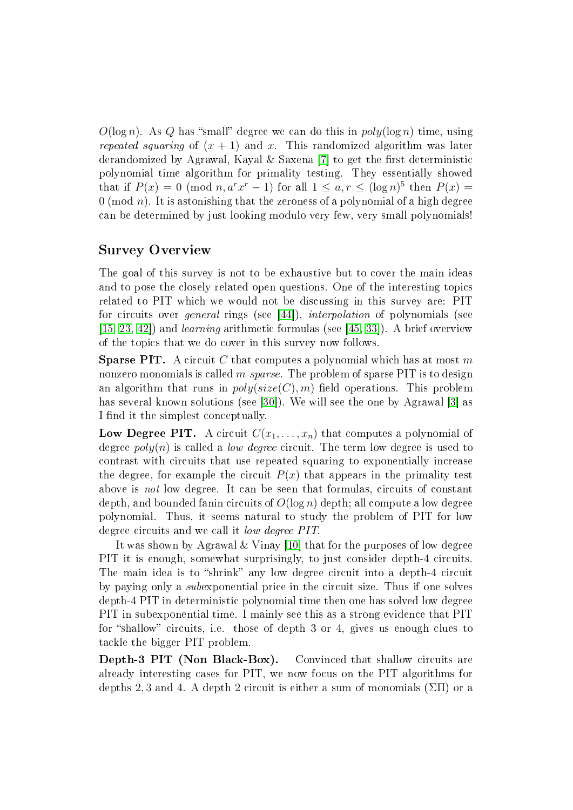$O(\log n)$ . As Q has "small" degree we can do this in  $poly(\log n)$  time, using repeated squaring of  $(x + 1)$  and x. This randomized algorithm was later derandomized by Agrawal, Kayal & Saxena [\[7\]](#page-26-2) to get the first deterministic polynomial time algorithm for primality testing. They essentially showed that if  $P(x) = 0 \pmod{n, a^r x^r - 1}$  for all  $1 \le a, r \le (\log n)^5$  then  $P(x) =$  $0 \pmod{n}$ . It is astonishing that the zeroness of a polynomial of a high degree can be determined by just looking modulo very few, very small polynomials!

#### Survey Overview

The goal of this survey is not to be exhaustive but to cover the main ideas and to pose the closely related open questions. One of the interesting topics related to PIT which we would not be discussing in this survey are: PIT for circuits over general rings (see [\[44\]](#page-28-3)), interpolation of polynomials (see  $[15, 23, 42]$  $[15, 23, 42]$  $[15, 23, 42]$  and *learning* arithmetic formulas (see [\[45,](#page-28-5) [33\]](#page-28-6)). A brief overview of the topics that we do cover in this survey now follows.

**Sparse PIT.** A circuit C that computes a polynomial which has at most m nonzero monomials is called  $m$ -sparse. The problem of sparse PIT is to design an algorithm that runs in  $poly(size(C), m)$  field operations. This problem has several known solutions (see [\[30\]](#page-27-3)). We will see the one by Agrawal [\[3\]](#page-26-4) as I find it the simplest conceptually.

**Low Degree PIT.** A circuit  $C(x_1, \ldots, x_n)$  that computes a polynomial of degree  $poly(n)$  is called a *low degree* circuit. The term low degree is used to contrast with circuits that use repeated squaring to exponentially increase the degree, for example the circuit  $P(x)$  that appears in the primality test above is not low degree. It can be seen that formulas, circuits of constant depth, and bounded fanin circuits of  $O(\log n)$  depth; all compute a low degree polynomial. Thus, it seems natural to study the problem of PIT for low degree circuits and we call it low degree PIT.

It was shown by Agrawal & Vinay [\[10\]](#page-26-5) that for the purposes of low degree PIT it is enough, somewhat surprisingly, to just consider depth-4 circuits. The main idea is to "shrink" any low degree circuit into a depth-4 circuit by paying only a subexponential price in the circuit size. Thus if one solves depth-4 PIT in deterministic polynomial time then one has solved low degree PIT in subexponential time. I mainly see this as a strong evidence that PIT for "shallow" circuits, i.e. those of depth 3 or 4, gives us enough clues to tackle the bigger PIT problem.

Depth-3 PIT (Non Black-Box). Convinced that shallow circuits are already interesting cases for PIT, we now focus on the PIT algorithms for depths 2, 3 and 4. A depth 2 circuit is either a sum of monomials  $(\Sigma\Pi)$  or a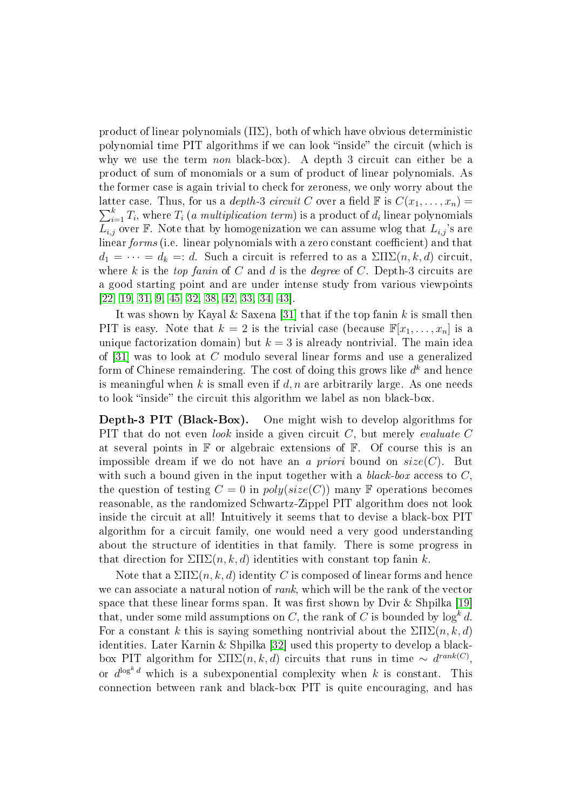product of linear polynomials  $(\Pi \Sigma)$ , both of which have obvious deterministic polynomial time PIT algorithms if we can look "inside" the circuit (which is why we use the term non black-box). A depth 3 circuit can either be a product of sum of monomials or a sum of product of linear polynomials. As the former case is again trivial to check for zeroness, we only worry about the latter case. Thus, for us a *depth*-3 *circuit* C over a field  $\mathbb F$  is  $C(x_1, \ldots, x_n) =$  $\sum_{i=1}^k T_i,$  where  $T_i$  (*a multiplication term*) is a product of  $d_i$  linear polynomials  $L_{i,j}$  over F. Note that by homogenization we can assume wlog that  $L_{i,j}$ 's are linear forms (i.e. linear polynomials with a zero constant coefficient) and that  $d_1 = \cdots = d_k =: d.$  Such a circuit is referred to as a  $\sum \prod \sum (n, k, d)$  circuit, where k is the top fanin of C and d is the degree of C. Depth-3 circuits are a good starting point and are under intense study from various viewpoints [\[22,](#page-27-4) [19,](#page-27-5) [31,](#page-28-7) [9,](#page-26-6) [45,](#page-28-5) [32,](#page-28-8) [38,](#page-28-9) [42,](#page-28-4) [33,](#page-28-6) [34,](#page-28-10) [43\]](#page-28-11).

It was shown by Kayal & Saxena [\[31\]](#page-28-7) that if the top fanin  $k$  is small then PIT is easy. Note that  $k = 2$  is the trivial case (because  $\mathbb{F}[x_1, \ldots, x_n]$  is a unique factorization domain) but  $k = 3$  is already nontrivial. The main idea of [\[31\]](#page-28-7) was to look at C modulo several linear forms and use a generalized form of Chinese remaindering. The cost of doing this grows like  $d^k$  and hence is meaningful when k is small even if d, n are arbitrarily large. As one needs to look "inside" the circuit this algorithm we label as non black-box.

Depth-3 PIT (Black-Box). One might wish to develop algorithms for PIT that do not even look inside a given circuit  $C$ , but merely evaluate C at several points in  $\mathbb F$  or algebraic extensions of  $\mathbb F$ . Of course this is an impossible dream if we do not have an a priori bound on  $size(C)$ . But with such a bound given in the input together with a black-box access to  $C$ . the question of testing  $C = 0$  in  $poly(size(C))$  many F operations becomes reasonable, as the randomized Schwartz-Zippel PIT algorithm does not look inside the circuit at all! Intuitively it seems that to devise a black-box PIT algorithm for a circuit family, one would need a very good understanding about the structure of identities in that family. There is some progress in that direction for  $\Sigma\Pi\Sigma(n, k, d)$  identities with constant top fanin k.

Note that a  $\Sigma\Pi\Sigma(n,k,d)$  identity C is composed of linear forms and hence we can associate a natural notion of *rank*, which will be the rank of the vector space that these linear forms span. It was first shown by Dvir & Shpilka  $[19]$ that, under some mild assumptions on  $C,$  the rank of  $C$  is bounded by  $\log^k d.$ For a constant k this is saying something nontrivial about the  $\Sigma\Pi\Sigma(n, k, d)$ identities. Later Karnin & Shpilka [\[32\]](#page-28-8) used this property to develop a blackbox PIT algorithm for  $\Sigma\Pi\Sigma(n,k,d)$  circuits that runs in time  $\sim d^{rank(C)}$ , or  $d^{\log^k d}$  which is a subexponential complexity when k is constant. This connection between rank and black-box PIT is quite encouraging, and has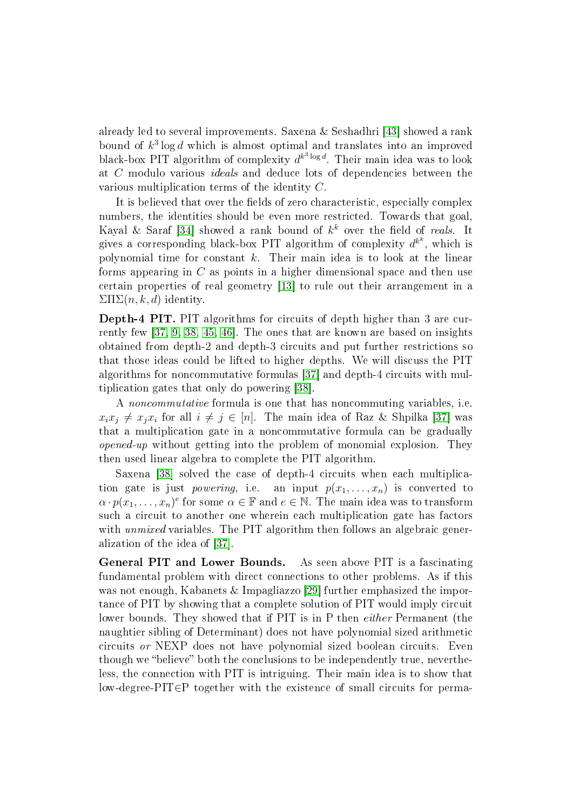already led to several improvements. Saxena & Seshadhri [\[43\]](#page-28-11) showed a rank bound of  $k^3 \log d$  which is almost optimal and translates into an improved black-box PIT algorithm of complexity  $d^{k^3\log d}$ . Their main idea was to look at C modulo various ideals and deduce lots of dependencies between the various multiplication terms of the identity C.

It is believed that over the fields of zero characteristic, especially complex numbers, the identities should be even more restricted. Towards that goal, Kayal & Saraf [\[34\]](#page-28-10) showed a rank bound of  $k^k$  over the field of *reals*. It gives a corresponding black-box PIT algorithm of complexity  $d^{k^k}$ , which is polynomial time for constant  $k$ . Their main idea is to look at the linear forms appearing in C as points in a higher dimensional space and then use certain properties of real geometry [\[13\]](#page-26-7) to rule out their arrangement in a  $\sum \Pi \sum(n, k, d)$  identity.

Depth-4 PIT. PIT algorithms for circuits of depth higher than 3 are currently few [\[37,](#page-28-12) [9,](#page-26-6) [38,](#page-28-9) [45,](#page-28-5) [46\]](#page-29-3). The ones that are known are based on insights obtained from depth-2 and depth-3 circuits and put further restrictions so that those ideas could be lifted to higher depths. We will discuss the PIT algorithms for noncommutative formulas [\[37\]](#page-28-12) and depth-4 circuits with multiplication gates that only do powering [\[38\]](#page-28-9).

A noncommutative formula is one that has noncommuting variables, i.e.  $x_ix_j \neq x_jx_i$  for all  $i \neq j \in [n]$ . The main idea of Raz & Shpilka [\[37\]](#page-28-12) was that a multiplication gate in a noncommutative formula can be gradually opened-up without getting into the problem of monomial explosion. They then used linear algebra to complete the PIT algorithm.

Saxena [\[38\]](#page-28-9) solved the case of depth-4 circuits when each multiplication gate is just *powering*, i.e. an input  $p(x_1, \ldots, x_n)$  is converted to  $\alpha \cdot p(x_1, \ldots, x_n)^e$  for some  $\alpha \in \mathbb{F}$  and  $e \in \mathbb{N}$ . The main idea was to transform such a circuit to another one wherein each multiplication gate has factors with *unmixed* variables. The PIT algorithm then follows an algebraic generalization of the idea of [\[37\]](#page-28-12).

General PIT and Lower Bounds. As seen above PIT is a fascinating fundamental problem with direct connections to other problems. As if this was not enough, Kabanets & Impagliazzo [\[29\]](#page-27-6) further emphasized the importance of PIT by showing that a complete solution of PIT would imply circuit lower bounds. They showed that if PIT is in P then *either* Permanent (the naughtier sibling of Determinant) does not have polynomial sized arithmetic circuits or NEXP does not have polynomial sized boolean circuits. Even though we "believe" both the conclusions to be independently true, nevertheless, the connection with PIT is intriguing. Their main idea is to show that low-degree-PIT∈P together with the existence of small circuits for perma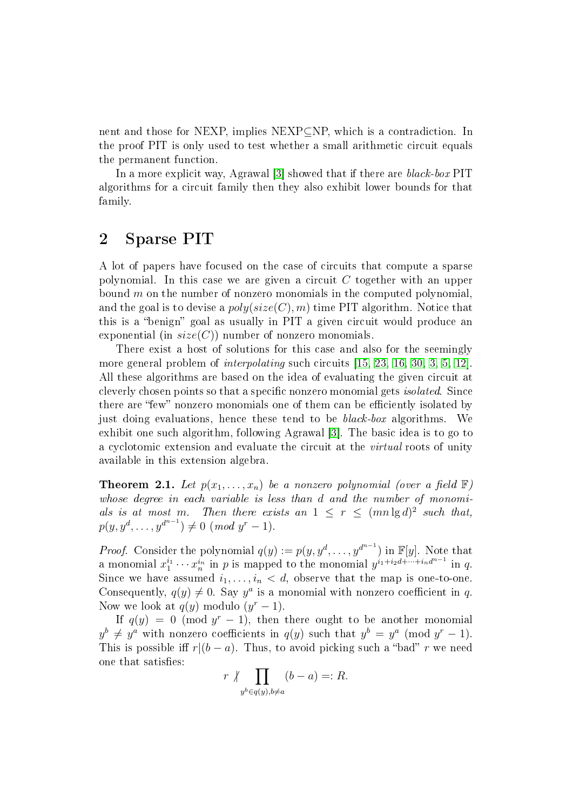nent and those for NEXP, implies NEXP⊆NP, which is a contradiction. In the proof PIT is only used to test whether a small arithmetic circuit equals the permanent function.

In a more explicit way, Agrawal [\[3\]](#page-26-4) showed that if there are black-box PIT algorithms for a circuit family then they also exhibit lower bounds for that family.

### <span id="page-7-1"></span>2 Sparse PIT

A lot of papers have focused on the case of circuits that compute a sparse polynomial. In this case we are given a circuit  $C$  together with an upper bound  $m$  on the number of nonzero monomials in the computed polynomial. and the goal is to devise a  $poly(size(C), m)$  time PIT algorithm. Notice that this is a "benign" goal as usually in PIT a given circuit would produce an exponential (in  $size(C)$ ) number of nonzero monomials.

There exist a host of solutions for this case and also for the seemingly more general problem of interpolating such circuits [\[15,](#page-26-3) [23,](#page-27-2) [16,](#page-27-7) [30,](#page-27-3) [3,](#page-26-4) [5,](#page-26-1) [12\]](#page-26-8). All these algorithms are based on the idea of evaluating the given circuit at cleverly chosen points so that a specific nonzero monomial gets *isolated*. Since there are "few" nonzero monomials one of them can be efficiently isolated by just doing evaluations, hence these tend to be black-box algorithms. We exhibit one such algorithm, following Agrawal [\[3\]](#page-26-4). The basic idea is to go to a cyclotomic extension and evaluate the circuit at the virtual roots of unity available in this extension algebra.

<span id="page-7-0"></span>**Theorem 2.1.** Let  $p(x_1, \ldots, x_n)$  be a nonzero polynomial (over a field  $\mathbb{F}$ ) whose degree in each variable is less than d and the number of monomials is at most m. Then there exists an  $1 \leq r \leq (mn \lg d)^2$  such that,  $p(y, y^d, \ldots, y^{d^{n-1}}) \neq 0 \ (mod \ y^r - 1).$ 

*Proof.* Consider the polynomial  $q(y) := p(y, y^d, \dots, y^{d^{n-1}})$  in  $\mathbb{F}[y]$ . Note that a monomial  $x_1^{i_1} \cdots x_n^{i_n}$  in p is mapped to the monomial  $y^{i_1+i_2d+\cdots+i_nd^{n-1}}$  in q. Since we have assumed  $i_1, \ldots, i_n < d$ , observe that the map is one-to-one. Consequently,  $q(y) \neq 0$ . Say  $y^a$  is a monomial with nonzero coefficient in q. Now we look at  $q(y)$  modulo  $(y^r-1)$ .

If  $q(y) = 0 \pmod{y^{r} - 1}$ , then there ought to be another monomial  $y^{b} \neq y^{a}$  with nonzero coefficients in  $q(y)$  such that  $y^{b} = y^{a} \pmod{y^{r} - 1}$ . This is possible iff  $r|(b - a)$ . Thus, to avoid picking such a "bad" r we need one that satisfies:

$$
r \not\mid \prod_{y^b \in q(y), b \neq a} (b - a) =: R.
$$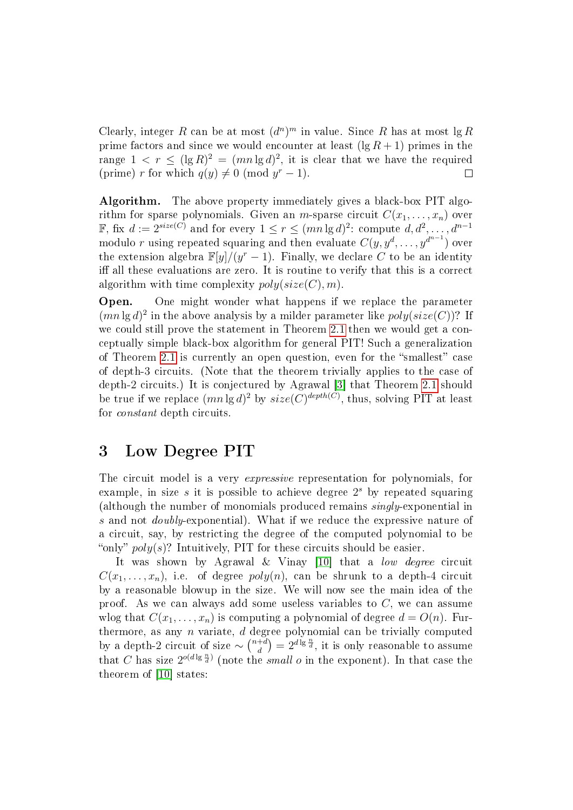Clearly, integer R can be at most  $(d^n)^m$  in value. Since R has at most  $\lg R$ prime factors and since we would encounter at least  $(\lg R + 1)$  primes in the range  $1 \, < \, r \, \leq \, (\lg R)^2 \, = \, (mn \lg d)^2$ , it is clear that we have the required (prime) r for which  $q(y) \neq 0 \pmod{y^r-1}$ .  $\Box$ 

Algorithm. The above property immediately gives a black-box PIT algorithm for sparse polynomials. Given an *m*-sparse circuit  $C(x_1, \ldots, x_n)$  over F, fix  $d := 2^{size(C)}$  and for every  $1 \leq r \leq (mn \lg d)^2$ : compute  $d, d^2, \ldots, d^{n-1}$ modulo  $r$  using repeated squaring and then evaluate  $C(y, y^d, \dots, y^{d^{n-1}})$  over the extension algebra  $\mathbb{F}[y]/(y^r-1)$ . Finally, we declare C to be an identity iff all these evaluations are zero. It is routine to verify that this is a correct algorithm with time complexity  $poly(size(C), m)$ .

Open. One might wonder what happens if we replace the parameter  $(mn \lg d)^2$  in the above analysis by a milder parameter like  $poly(size(C))$ ? If we could still prove the statement in Theorem [2.1](#page-7-0) then we would get a conceptually simple black-box algorithm for general PIT! Such a generalization of Theorem [2.1](#page-7-0) is currently an open question, even for the "smallest" case of depth-3 circuits. (Note that the theorem trivially applies to the case of depth-2 circuits.) It is conjectured by Agrawal [\[3\]](#page-26-4) that Theorem [2.1](#page-7-0) should be true if we replace  $(mn \lg d)^2$  by  $size(C)^{depth(C)}$ , thus, solving PIT at least for constant depth circuits.

#### 3 Low Degree PIT

The circuit model is a very *expressive* representation for polynomials, for example, in size  $s$  it is possible to achieve degree  $2<sup>s</sup>$  by repeated squaring (although the number of monomials produced remains singly-exponential in s and not doubly-exponential). What if we reduce the expressive nature of a circuit, say, by restricting the degree of the computed polynomial to be "only"  $poly(s)$ ? Intuitively, PIT for these circuits should be easier.

It was shown by Agrawal & Vinay [\[10\]](#page-26-5) that a low degree circuit  $C(x_1, \ldots, x_n)$ , i.e. of degree  $poly(n)$ , can be shrunk to a depth-4 circuit by a reasonable blowup in the size. We will now see the main idea of the proof. As we can always add some useless variables to  $C$ , we can assume wlog that  $C(x_1, \ldots, x_n)$  is computing a polynomial of degree  $d = O(n)$ . Furthermore, as any  $n$  variate,  $d$  degree polynomial can be trivially computed by a depth-2 circuit of size  $\sim \binom{n+d}{d}$  $\begin{pmatrix} +d \\ d \end{pmatrix} = 2^{d \lg \frac{n}{d}}$ , it is only reasonable to assume that C has size  $2^{o(d\lg\frac{n}{d})}$  (note the *small o* in the exponent). In that case the theorem of [\[10\]](#page-26-5) states: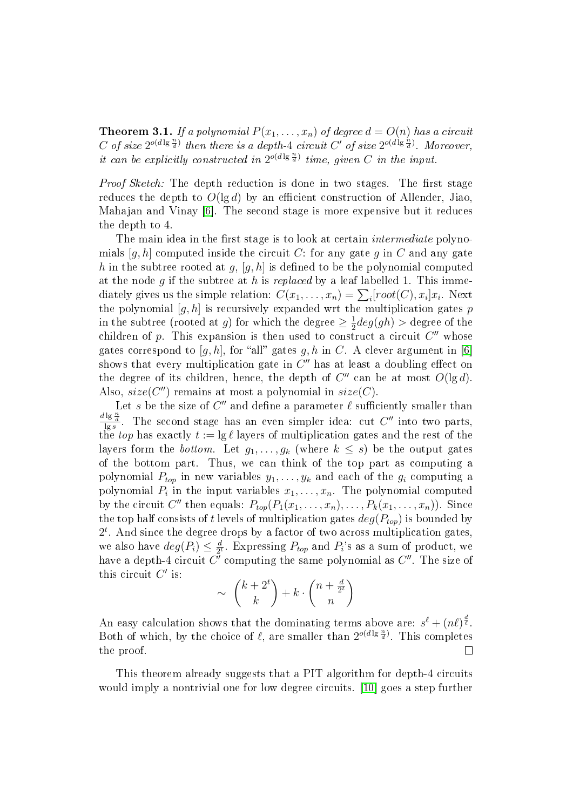**Theorem 3.1.** If a polynomial  $P(x_1, \ldots, x_n)$  of degree  $d = O(n)$  has a circuit C of size  $2^{o(d\lg{\frac{n}{d}})}$  then there is a depth-4 circuit C' of size  $2^{o(d\lg{\frac{n}{d}})}$ . Moreover, it can be explicitly constructed in  $2^{o(d \lg \frac{n}{d})}$  time, given C in the input.

Proof Sketch: The depth reduction is done in two stages. The first stage reduces the depth to  $O(\lg d)$  by an efficient construction of Allender, Jiao. Mahajan and Vinay [\[6\]](#page-26-9). The second stage is more expensive but it reduces the depth to 4.

The main idea in the first stage is to look at certain *intermediate* polynomials  $[q, h]$  computed inside the circuit C: for any gate q in C and any gate h in the subtree rooted at g,  $[g, h]$  is defined to be the polynomial computed at the node q if the subtree at h is replaced by a leaf labelled 1. This immediately gives us the simple relation:  $C(x_1, \ldots, x_n) = \sum_i [root(C), x_i] x_i$ . Next the polynomial  $[g, h]$  is recursively expanded wrt the multiplication gates p in the subtree (rooted at g) for which the degree  $\geq \frac{1}{2}$  $\frac{1}{2}deg(gh) >$  degree of the children of p. This expansion is then used to construct a circuit  $C''$  whose gates correspond to [g, h], for "all" gates g, h in C. A clever argument in [\[6\]](#page-26-9) shows that every multiplication gate in  $C''$  has at least a doubling effect on the degree of its children, hence, the depth of  $C''$  can be at most  $O(\lg d)$ . Also,  $size(C'')$  remains at most a polynomial in  $size(C)$ .

Let s be the size of  $C''$  and define a parameter  $\ell$  sufficiently smaller than  $\frac{d \lg \frac{n}{d}}{\lg s}$ . The second stage has an even simpler idea: cut C'' into two parts, the top has exactly  $t := \lg \ell$  layers of multiplication gates and the rest of the layers form the *bottom*. Let  $g_1, \ldots, g_k$  (where  $k \leq s$ ) be the output gates of the bottom part. Thus, we can think of the top part as computing a polynomial  $P_{top}$  in new variables  $y_1, \ldots, y_k$  and each of the  $g_i$  computing a polynomial  $P_i$  in the input variables  $x_1, \ldots, x_n$ . The polynomial computed by the circuit  $C''$  then equals:  $P_{top}(P_1(x_1,\ldots,x_n),\ldots,P_k(x_1,\ldots,x_n))$ . Since the top half consists of t levels of multiplication gates  $deg(P_{top})$  is bounded by  $2<sup>t</sup>$ . And since the degree drops by a factor of two across multiplication gates, we also have  $deg(P_i) \leq \frac{d}{2^n}$  $\frac{d}{2^t}$ . Expressing  $P_{top}$  and  $P_i$ 's as a sum of product, we have a depth-4 circuit  $\bar{C'}$  computing the same polynomial as  $C''$ . The size of this circuit  $C'$  is:

$$
\sim \binom{k+2^t}{k} + k \cdot \binom{n+\frac{d}{2^t}}{n}
$$

An easy calculation shows that the dominating terms above are:  $s^{\ell} + (n\ell)^{\frac{d}{\ell}}$ . Both of which, by the choice of  $\ell$ , are smaller than  $2^{o(d \lg \frac{n}{d})}$ . This completes the proof.  $\Box$ 

This theorem already suggests that a PIT algorithm for depth-4 circuits would imply a nontrivial one for low degree circuits. [\[10\]](#page-26-5) goes a step further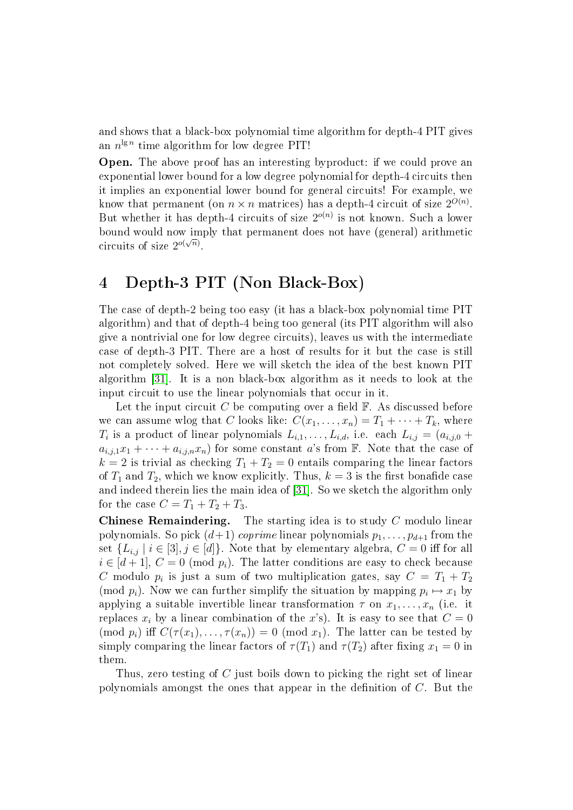and shows that a black-box polynomial time algorithm for depth-4 PIT gives an  $n^{\lg n}$  time algorithm for low degree PIT!

Open. The above proof has an interesting byproduct: if we could prove an exponential lower bound for a low degree polynomial for depth-4 circuits then it implies an exponential lower bound for general circuits! For example, we know that permanent (on  $n \times n$  matrices) has a depth-4 circuit of size  $2^{O(n)}$ . But whether it has depth-4 circuits of size  $2^{o(n)}$  is not known. Such a lower bound would now imply that permanent does not have (general) arithmetic circuits of size  $2^{o(\sqrt{n})}$ .

## 4 Depth-3 PIT (Non Black-Box)

The case of depth-2 being too easy (it has a black-box polynomial time PIT algorithm) and that of depth-4 being too general (its PIT algorithm will also give a nontrivial one for low degree circuits), leaves us with the intermediate case of depth-3 PIT. There are a host of results for it but the case is still not completely solved. Here we will sketch the idea of the best known PIT algorithm [\[31\]](#page-28-7). It is a non black-box algorithm as it needs to look at the input circuit to use the linear polynomials that occur in it.

Let the input circuit C be computing over a field  $\mathbb{F}$ . As discussed before we can assume wlog that C looks like:  $C(x_1, \ldots, x_n) = T_1 + \cdots + T_k$ , where  $T_i$  is a product of linear polynomials  $L_{i,1}, \ldots, L_{i,d}$ , i.e. each  $L_{i,j} = (a_{i,j,0} +$  $a_{i,j,1}x_1 + \cdots + a_{i,j,n}x_n$  for some constant a's from F. Note that the case of  $k = 2$  is trivial as checking  $T_1 + T_2 = 0$  entails comparing the linear factors of  $T_1$  and  $T_2$ , which we know explicitly. Thus,  $k = 3$  is the first bonafide case and indeed therein lies the main idea of [\[31\]](#page-28-7). So we sketch the algorithm only for the case  $C = T_1 + T_2 + T_3$ .

**Chinese Remaindering.** The starting idea is to study  $C$  modulo linear polynomials. So pick  $(d+1)$  coprime linear polynomials  $p_1, \ldots, p_{d+1}$  from the set  $\{L_{i,j} | i \in [3], j \in [d]\}.$  Note that by elementary algebra,  $C = 0$  iff for all  $i \in [d+1], C = 0 \pmod{p_i}$ . The latter conditions are easy to check because C modulo  $p_i$  is just a sum of two multiplication gates, say  $C = T_1 + T_2$ (mod  $p_i$ ). Now we can further simplify the situation by mapping  $p_i \mapsto x_1$  by applying a suitable invertible linear transformation  $\tau$  on  $x_1, \ldots, x_n$  (i.e. it replaces  $x_i$  by a linear combination of the x's). It is easy to see that  $C = 0$ (mod  $p_i$ ) iff  $C(\tau(x_1), \ldots, \tau(x_n)) = 0$  (mod  $x_1$ ). The latter can be tested by simply comparing the linear factors of  $\tau(T_1)$  and  $\tau(T_2)$  after fixing  $x_1 = 0$  in them.

Thus, zero testing of C just boils down to picking the right set of linear polynomials amongst the ones that appear in the definition of  $C$ . But the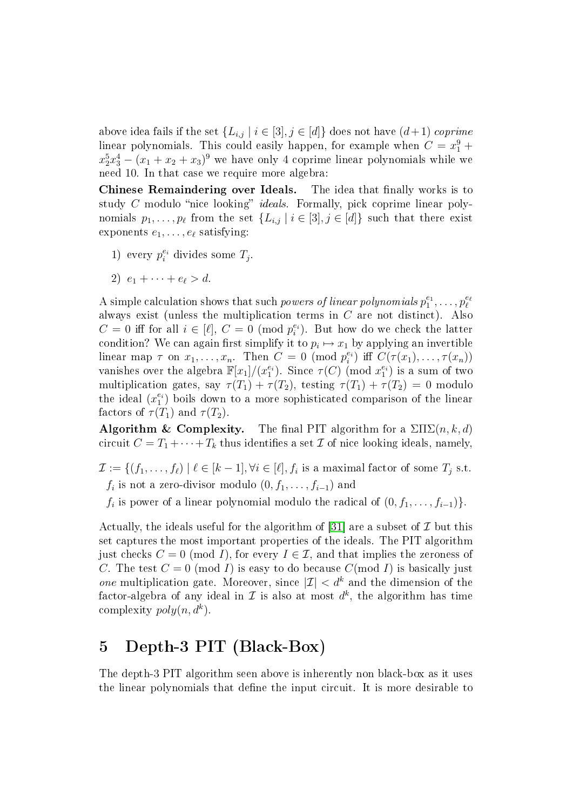above idea fails if the set  $\{L_{i,j} | i \in [3], j \in [d]\}$  does not have  $(d+1)$  coprime linear polynomials. This could easily happen, for example when  $C = x_1^9 +$  $x_2^5x_3^4 - (x_1 + x_2 + x_3)^9$  we have only 4 coprime linear polynomials while we need 10. In that case we require more algebra:

Chinese Remaindering over Ideals. The idea that finally works is to study  $C$  modulo "nice looking" *ideals*. Formally, pick coprime linear polynomials  $p_1, \ldots, p_\ell$  from the set  $\{L_{i,j} \mid i \in [3], j \in [d]\}$  such that there exist exponents  $e_1, \ldots, e_\ell$  satisfying:

- 1) every  $p_i^{e_i}$  divides some  $T_j$ .
- 2)  $e_1 + \cdots + e_{\ell} > d$ .

A simple calculation shows that such *powers of linear polynomials*  $p_1^{e_1}, \ldots, p_\ell^{e_\ell}$ always exist (unless the multiplication terms in  $C$  are not distinct). Also  $C = 0$  iff for all  $i \in [\ell], C = 0 \pmod{p_i^{e_i}}$ . But how do we check the latter condition? We can again first simplify it to  $p_i \mapsto x_1$  by applying an invertible linear map  $\tau$  on  $x_1, \ldots, x_n$ . Then  $C = 0 \pmod{p_i^{e_i}}$  iff  $C(\tau(x_1), \ldots, \tau(x_n))$ vanishes over the algebra  $\mathbb{F}[x_1]/(x_1^{e_i})$ . Since  $\tau(C)$  (mod  $x_1^{e_i}$ ) is a sum of two multiplication gates, say  $\tau(T_1) + \tau(T_2)$ , testing  $\tau(T_1) + \tau(T_2) = 0$  modulo the ideal  $(x_1^{e_i})$  boils down to a more sophisticated comparison of the linear factors of  $\tau(T_1)$  and  $\tau(T_2)$ .

**Algorithm & Complexity.** The final PIT algorithm for a  $\sum \sum (n, k, d)$ circuit  $C = T_1 + \cdots + T_k$  thus identifies a set  $\mathcal I$  of nice looking ideals, namely,

 $\mathcal{I} := \{ (f_1, \ldots, f_\ell) \mid \ell \in [k-1], \forall i \in [\ell], f_i \text{ is a maximal factor of some } T_j \text{ s.t. }$  $f_i$  is not a zero-divisor modulo  $(0, f_1, \ldots, f_{i-1})$  and

 $f_i$  is power of a linear polynomial modulo the radical of  $(0, f_1, \ldots, f_{i-1})\}$ .

Actually, the ideals useful for the algorithm of [\[31\]](#page-28-7) are a subset of  $\mathcal I$  but this set captures the most important properties of the ideals. The PIT algorithm just checks  $C = 0 \pmod{I}$ , for every  $I \in \mathcal{I}$ , and that implies the zeroness of C. The test  $C = 0 \pmod{I}$  is easy to do because  $C(\text{mod } I)$  is basically just one multiplication gate. Moreover, since  $|\mathcal{I}| < d^k$  and the dimension of the factor-algebra of any ideal in  $\mathcal I$  is also at most  $d^k$ , the algorithm has time complexity  $poly(n, d^k)$ .

### 5 Depth-3 PIT (Black-Box)

The depth-3 PIT algorithm seen above is inherently non black-box as it uses the linear polynomials that define the input circuit. It is more desirable to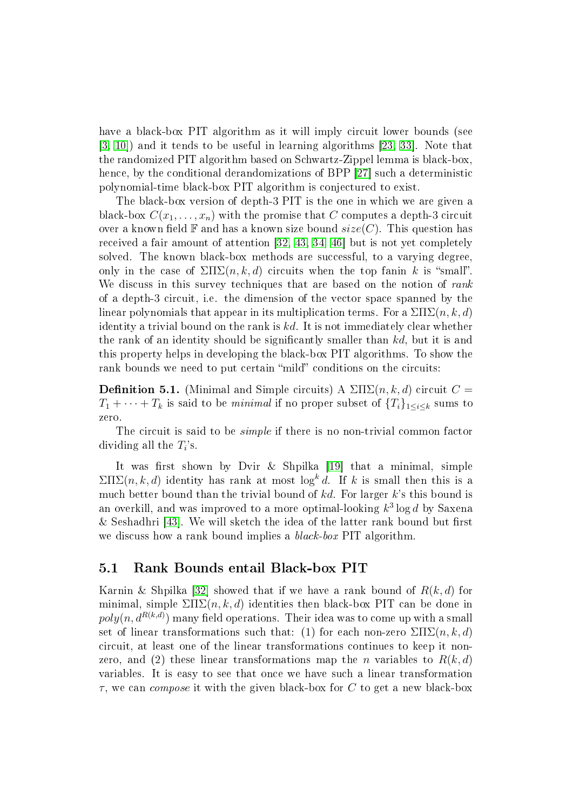have a black-box PIT algorithm as it will imply circuit lower bounds (see [\[3,](#page-26-4) [10\]](#page-26-5)) and it tends to be useful in learning algorithms [\[23,](#page-27-2) [33\]](#page-28-6). Note that the randomized PIT algorithm based on Schwartz-Zippel lemma is black-box, hence, by the conditional derandomizations of BPP [\[27\]](#page-27-1) such a deterministic polynomial-time black-box PIT algorithm is conjectured to exist.

The black-box version of depth-3 PIT is the one in which we are given a black-box  $C(x_1, \ldots, x_n)$  with the promise that C computes a depth-3 circuit over a known field  $\mathbb F$  and has a known size bound  $size(C)$ . This question has received a fair amount of attention [\[32,](#page-28-8) [43,](#page-28-11) [34,](#page-28-10) [46\]](#page-29-3) but is not yet completely solved. The known black-box methods are successful, to a varying degree, only in the case of  $\Sigma\Pi\Sigma(n, k, d)$  circuits when the top fanin k is "small". We discuss in this survey techniques that are based on the notion of rank of a depth-3 circuit, i.e. the dimension of the vector space spanned by the linear polynomials that appear in its multiplication terms. For a  $\Sigma\Pi\Sigma(n,k,d)$ identity a trivial bound on the rank is  $kd$ . It is not immediately clear whether the rank of an identity should be signicantly smaller than kd, but it is and this property helps in developing the black-box PIT algorithms. To show the rank bounds we need to put certain "mild" conditions on the circuits:

**Definition 5.1.** (Minimal and Simple circuits) A  $\sum \sum (n, k, d)$  circuit  $C =$  $T_1 + \cdots + T_k$  is said to be *minimal* if no proper subset of  $\{T_i\}_{1 \leq i \leq k}$  sums to zero.

The circuit is said to be *simple* if there is no non-trivial common factor dividing all the  $T_i$ 's.

It was first shown by Dvir & Shpilka  $[19]$  that a minimal, simple  $\sum \Pi \sum(n, k, d)$  identity has rank at most  $\log^k d$ . If k is small then this is a much better bound than the trivial bound of  $kd$ . For larger  $k$ 's this bound is an overkill, and was improved to a more optimal-looking  $k^3 \log d$  by Saxena  $&$  Seshadhri [\[43\]](#page-28-11). We will sketch the idea of the latter rank bound but first we discuss how a rank bound implies a *black-box* PIT algorithm.

#### 5.1 Rank Bounds entail Black-box PIT

Karnin & Shpilka [\[32\]](#page-28-8) showed that if we have a rank bound of  $R(k, d)$  for minimal, simple  $\Sigma\Pi\Sigma(n, k, d)$  identities then black-box PIT can be done in  $poly(n, d^{R(k,d)})$  many field operations. Their idea was to come up with a small set of linear transformations such that: (1) for each non-zero  $\Sigma\Pi\Sigma(n,k,d)$ circuit, at least one of the linear transformations continues to keep it nonzero, and (2) these linear transformations map the *n* variables to  $R(k, d)$ variables. It is easy to see that once we have such a linear transformation  $\tau$ , we can *compose* it with the given black-box for C to get a new black-box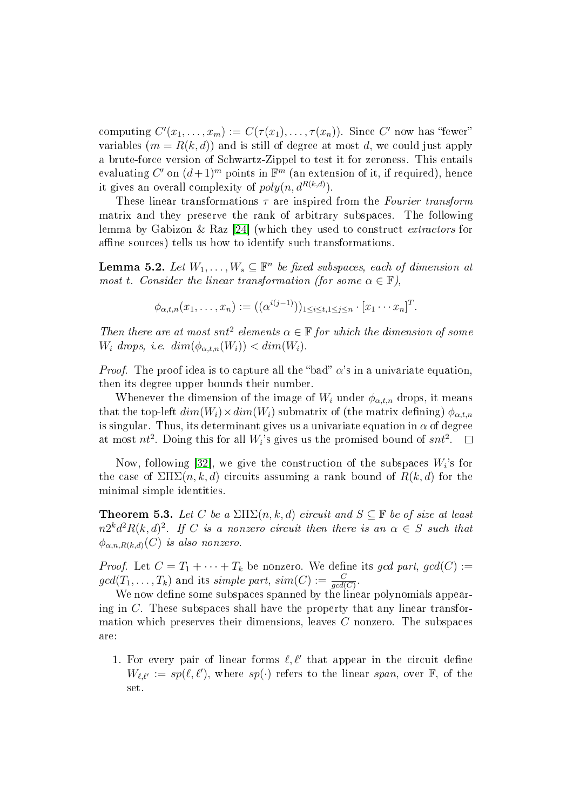computing  $C'(x_1, \ldots, x_m) := C(\tau(x_1), \ldots, \tau(x_n))$ . Since  $C'$  now has "fewer" variables  $(m = R(k, d))$  and is still of degree at most d, we could just apply a brute-force version of Schwartz-Zippel to test it for zeroness. This entails evaluating  $C'$  on  $(d+1)^m$  points in  $\mathbb{F}^m$  (an extension of it, if required), hence it gives an overall complexity of  $poly(n, d^{R(k,d)})$ .

These linear transformations  $\tau$  are inspired from the Fourier transform matrix and they preserve the rank of arbitrary subspaces. The following lemma by Gabizon & Raz [\[24\]](#page-27-8) (which they used to construct extractors for affine sources) tells us how to identify such transformations.

<span id="page-13-0"></span>**Lemma 5.2.** Let  $W_1, \ldots, W_s \subseteq \mathbb{F}^n$  be fixed subspaces, each of dimension at most t. Consider the linear transformation (for some  $\alpha \in \mathbb{F}$ ),

$$
\phi_{\alpha,t,n}(x_1,\ldots,x_n) := ((\alpha^{i(j-1)}))_{1 \leq i \leq t, 1 \leq j \leq n} \cdot [x_1 \cdots x_n]^T.
$$

Then there are at most snt<sup>2</sup> elements  $\alpha \in \mathbb{F}$  for which the dimension of some  $W_i$  drops, i.e.  $dim(\phi_{\alpha,t,n}(W_i)) < dim(W_i)$ .

*Proof.* The proof idea is to capture all the "bad"  $\alpha$ 's in a univariate equation, then its degree upper bounds their number.

Whenever the dimension of the image of  $W_i$  under  $\phi_{\alpha,t,n}$  drops, it means that the top-left  $dim(W_i) \times dim(W_i)$  submatrix of (the matrix defining)  $\phi_{\alpha,t,n}$ is singular. Thus, its determinant gives us a univariate equation in  $\alpha$  of degree at most  $nt^2$ . Doing this for all  $W_i$ 's gives us the promised bound of  $snt^2$ .  $\Box$ 

Now, following [\[32\]](#page-28-8), we give the construction of the subspaces  $W_i$ 's for the case of  $\Sigma\Pi\Sigma(n,k,d)$  circuits assuming a rank bound of  $R(k,d)$  for the minimal simple identities.

**Theorem 5.3.** Let C be a  $\Sigma\Pi\Sigma(n, k, d)$  circuit and  $S \subseteq \mathbb{F}$  be of size at least  $n2^kd^2R(k,d)^2$ . If C is a nonzero circuit then there is an  $\alpha \in S$  such that  $\phi_{\alpha,n,R(k,d)}(C)$  is also nonzero.

*Proof.* Let  $C = T_1 + \cdots + T_k$  be nonzero. We define its gcd part, gcd(C) :=  $gcd(T_1, \ldots, T_k)$  and its simple part,  $sim(C) := \frac{C}{gcd(C)}$ .

We now define some subspaces spanned by the linear polynomials appearing in  $C$ . These subspaces shall have the property that any linear transformation which preserves their dimensions, leaves C nonzero. The subspaces are:

1. For every pair of linear forms  $\ell, \ell'$  that appear in the circuit define  $W_{\ell,\ell'} := sp(\ell,\ell')$ , where  $sp(\cdot)$  refers to the linear span, over  $\mathbb{F}$ , of the set.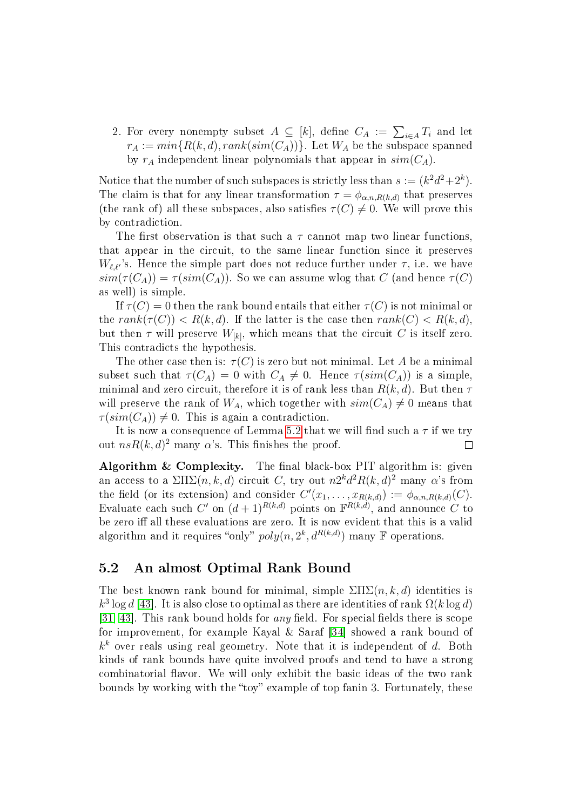2. For every nonempty subset  $A \subseteq [k]$ , define  $C_A := \sum_{i \in A} T_i$  and let  $r_A := min\{R(k, d), rank(sim(C_A))\}$ . Let  $W_A$  be the subspace spanned by  $r_A$  independent linear polynomials that appear in  $sim(C_A)$ .

Notice that the number of such subspaces is strictly less than  $s := (k^2d^2 + 2^k)$ . The claim is that for any linear transformation  $\tau = \phi_{\alpha,n,R(k,d)}$  that preserves (the rank of) all these subspaces, also satisfies  $\tau(C) \neq 0$ . We will prove this by contradiction.

The first observation is that such a  $\tau$  cannot map two linear functions, that appear in the circuit, to the same linear function since it preserves  $W_{\ell,\ell'}$ 's. Hence the simple part does not reduce further under  $\tau$ , i.e. we have  $sim(\tau(C_A)) = \tau(sim(C_A))$ . So we can assume wlog that C (and hence  $\tau(C)$ ) as well) is simple.

If  $\tau(C) = 0$  then the rank bound entails that either  $\tau(C)$  is not minimal or the rank $(\tau(C))$  <  $R(k, d)$ . If the latter is the case then rank $(C)$  <  $R(k, d)$ . but then  $\tau$  will preserve  $W_{[k]}$ , which means that the circuit  $C$  is itself zero. This contradicts the hypothesis.

The other case then is:  $\tau(C)$  is zero but not minimal. Let A be a minimal subset such that  $\tau(C_A) = 0$  with  $C_A \neq 0$ . Hence  $\tau(\text{sim}(C_A))$  is a simple, minimal and zero circuit, therefore it is of rank less than  $R(k, d)$ . But then  $\tau$ will preserve the rank of  $W_A$ , which together with  $sim(C_A) \neq 0$  means that  $\tau(\text{sim}(C_A)) \neq 0$ . This is again a contradiction.

It is now a consequence of Lemma [5.2](#page-13-0) that we will find such a  $\tau$  if we try out  $nsR(k, d)<sup>2</sup>$  many  $\alpha$ 's. This finishes the proof.  $\Box$ 

Algorithm  $\&$  Complexity. The final black-box PIT algorithm is: given an access to a  $\Sigma\Pi\Sigma(n,k,d)$  circuit C, try out  $n2^kd^2R(k,d)^2$  many  $\alpha$ 's from the field (or its extension) and consider  $C'(x_1, \ldots, x_{R(k,d)}) := \phi_{\alpha,n,R(k,d)}(C)$ . Evaluate each such C' on  $(d+1)^{R(k,d)}$  points on  $\mathbb{F}^{R(k,d)}$ , and announce C to be zero iff all these evaluations are zero. It is now evident that this is a valid algorithm and it requires "only"  $poly(n, 2^k, d^{R(k,d)})$  many  $\mathbb F$  operations.

#### 5.2 An almost Optimal Rank Bound

The best known rank bound for minimal, simple  $\Sigma\Pi\Sigma(n,k,d)$  identities is  $k^3 \log d$  [\[43\]](#page-28-11). It is also close to optimal as there are identities of rank  $\Omega(k \log d)$ [\[31,](#page-28-7) [43\]](#page-28-11). This rank bound holds for *any* field. For special fields there is scope for improvement, for example Kayal & Saraf [\[34\]](#page-28-10) showed a rank bound of  $k^k$  over reals using real geometry. Note that it is independent of d. Both kinds of rank bounds have quite involved proofs and tend to have a strong combinatorial flavor. We will only exhibit the basic ideas of the two rank bounds by working with the "toy" example of top fanin 3. Fortunately, these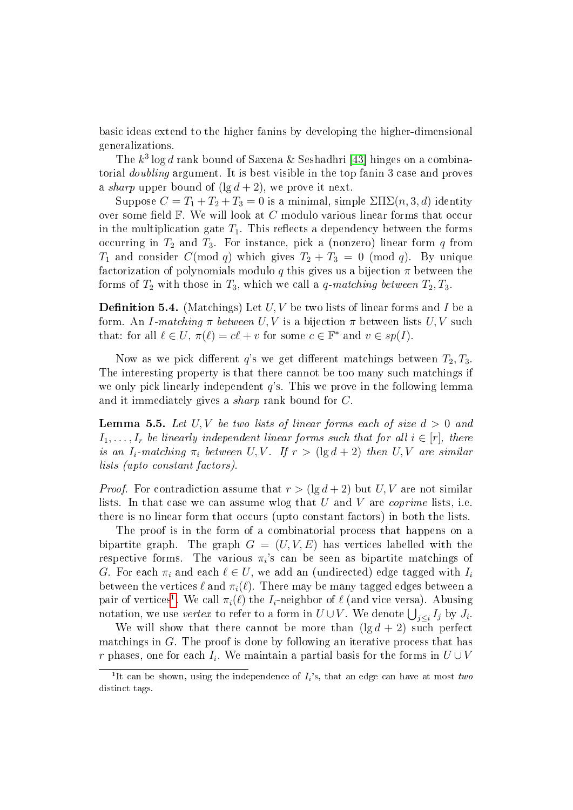basic ideas extend to the higher fanins by developing the higher-dimensional generalizations.

The  $k^3 \log d$  rank bound of Saxena & Seshadhri [\[43\]](#page-28-11) hinges on a combinatorial doubling argument. It is best visible in the top fanin 3 case and proves a sharp upper bound of  $(\lg d + 2)$ , we prove it next.

Suppose  $C = T_1 + T_2 + T_3 = 0$  is a minimal, simple  $\sum \Gamma(\overline{n},3,d)$  identity over some field  $\mathbb F$ . We will look at C modulo various linear forms that occur in the multiplication gate  $T_1$ . This reflects a dependency between the forms occurring in  $T_2$  and  $T_3$ . For instance, pick a (nonzero) linear form q from  $T_1$  and consider  $C(\text{mod } q)$  which gives  $T_2 + T_3 = 0 \pmod{q}$ . By unique factorization of polynomials modulo q this gives us a bijection  $\pi$  between the forms of  $T_2$  with those in  $T_3$ , which we call a q-matching between  $T_2, T_3$ .

**Definition 5.4.** (Matchings) Let  $U, V$  be two lists of linear forms and I be a form. An I-matching  $\pi$  between U, V is a bijection  $\pi$  between lists U, V such that: for all  $\ell \in U$ ,  $\pi(\ell) = c\ell + v$  for some  $c \in \mathbb{F}^*$  and  $v \in sp(I)$ .

Now as we pick different q's we get different matchings between  $T_2, T_3$ . The interesting property is that there cannot be too many such matchings if we only pick linearly independent  $q$ 's. This we prove in the following lemma and it immediately gives a sharp rank bound for C.

<span id="page-15-1"></span>**Lemma 5.5.** Let U, V be two lists of linear forms each of size  $d > 0$  and  $I_1, \ldots, I_r$  be linearly independent linear forms such that for all  $i \in [r]$ , there is an  $I_i$ -matching  $\pi_i$  between U, V. If  $r > (\lg d + 2)$  then U, V are similar lists (upto constant factors).

*Proof.* For contradiction assume that  $r > (\lg d + 2)$  but U, V are not similar lists. In that case we can assume wlog that  $U$  and  $V$  are *coprime* lists, i.e. there is no linear form that occurs (upto constant factors) in both the lists.

The proof is in the form of a combinatorial process that happens on a bipartite graph. The graph  $G = (U, V, E)$  has vertices labelled with the respective forms. The various  $\pi_i$ 's can be seen as bipartite matchings of G. For each  $\pi_i$  and each  $\ell \in U$ , we add an (undirected) edge tagged with  $I_i$ between the vertices  $\ell$  and  $\pi_i(\ell)$ . There may be many tagged edges between a pair of vertices<sup>[1](#page-15-0)</sup>. We call  $\pi_i(\ell)$  the  $I_i$ -neighbor of  $\ell$  (and vice versa). Abusing notation, we use *vertex* to refer to a form in  $U\cup V$ . We denote  $\bigcup_{j\leq i}I_j$  by  $J_i$ .

We will show that there cannot be more than  $(\lg d + 2)$  such perfect matchings in G. The proof is done by following an iterative process that has r phases, one for each  $I_i$ . We maintain a partial basis for the forms in  $U \cup V$ 

<span id="page-15-0"></span><sup>&</sup>lt;sup>1</sup>It can be shown, using the independence of  $I_i$ 's, that an edge can have at most two distinct tags.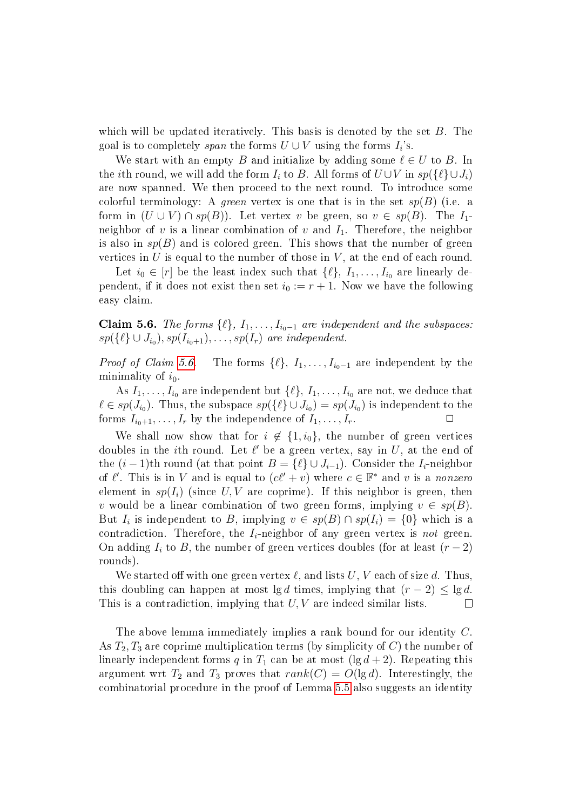which will be updated iteratively. This basis is denoted by the set  $B$ . The goal is to completely *span* the forms  $U \cup V$  using the forms  $I_i$ 's.

We start with an empty B and initialize by adding some  $\ell \in U$  to B. In the *i*th round, we will add the form  $I_i$  to B. All forms of  $U \cup V$  in  $sp({\lbrace \ell \rbrace} \cup J_i)$ are now spanned. We then proceed to the next round. To introduce some colorful terminology: A green vertex is one that is in the set  $sp(B)$  (i.e. a form in  $(U \cup V) \cap sp(B)$ . Let vertex v be green, so  $v \in sp(B)$ . The  $I_1$ neighbor of v is a linear combination of v and  $I_1$ . Therefore, the neighbor is also in  $sp(B)$  and is colored green. This shows that the number of green vertices in U is equal to the number of those in  $V$ , at the end of each round.

Let  $i_0 \in [r]$  be the least index such that  $\{\ell\}, I_1, \ldots, I_{i_0}$  are linearly dependent, if it does not exist then set  $i_0 := r + 1$ . Now we have the following easy claim.

<span id="page-16-0"></span>**Claim 5.6.** The forms  $\{\ell\}, I_1, \ldots, I_{i_0-1}$  are independent and the subspaces:  $sp({\{\ell\} \cup J_{i_0}),sp(I_{i_0+1}), \ldots, sp(I_r)}$  are independent.

*Proof of Claim [5.6.](#page-16-0)* The forms  $\{\ell\}, I_1, \ldots, I_{i_0-1}$  are independent by the minimality of  $i_0$ .

As  $I_1, \ldots, I_{i_0}$  are independent but  $\{\ell\}, I_1, \ldots, I_{i_0}$  are not, we deduce that  $\ell \in sp(J_{i_0})$ . Thus, the subspace  $sp({\{\ell\} \cup J_{i_0}) = sp(J_{i_0})}$  is independent to the forms  $I_{i_0+1}, \ldots, I_r$  by the independence of  $I_1, \ldots, I_r$ .

We shall now show that for  $i \notin \{1, i_0\}$ , the number of green vertices doubles in the *i*th round. Let  $\ell'$  be a green vertex, say in U, at the end of the  $(i-1)$ th round (at that point  $B = \{\ell\} \cup J_{i-1}$ ). Consider the  $I_i$ -neighbor of  $\ell'$ . This is in V and is equal to  $(c\ell' + v)$  where  $c \in \mathbb{F}^*$  and v is a nonzero element in  $sp(I_i)$  (since U, V are coprime). If this neighbor is green, then v would be a linear combination of two green forms, implying  $v \in sp(B)$ . But  $I_i$  is independent to B, implying  $v \in sp(B) \cap sp(I_i) = \{0\}$  which is a contradiction. Therefore, the  $I_i$ -neighbor of any green vertex is not green. On adding  $I_i$  to B, the number of green vertices doubles (for at least  $(r-2)$ ) rounds).

We started off with one green vertex  $\ell$ , and lists U, V each of size d. Thus, this doubling can happen at most lgd times, implying that  $(r-2) \leq \lg d$ . This is a contradiction, implying that  $U, V$  are indeed similar lists.  $\Box$ 

The above lemma immediately implies a rank bound for our identity C. As  $T_2, T_3$  are coprime multiplication terms (by simplicity of C) the number of linearly independent forms q in  $T_1$  can be at most (lg  $d + 2$ ). Repeating this argument wrt  $T_2$  and  $T_3$  proves that  $rank(C) = O(\lg d)$ . Interestingly, the combinatorial procedure in the proof of Lemma [5.5](#page-15-1) also suggests an identity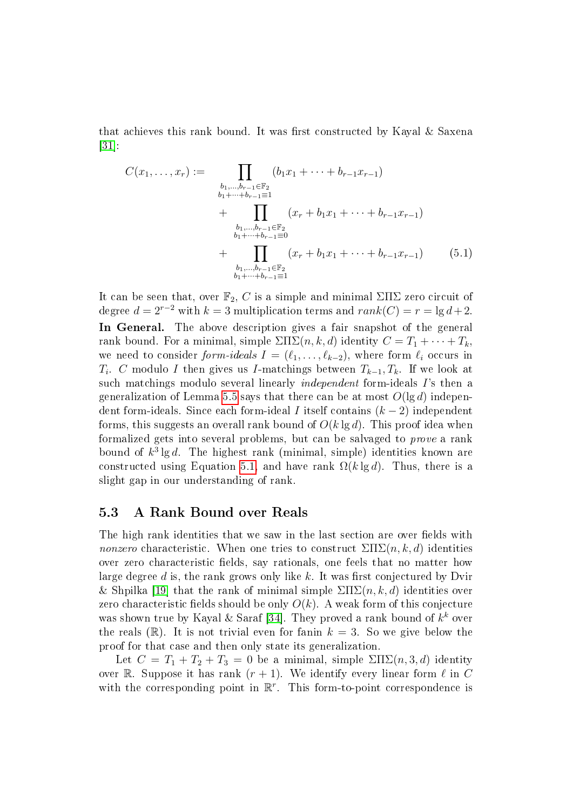that achieves this rank bound. It was first constructed by Kayal  $\&$  Saxena  $|31|$ :

<span id="page-17-0"></span>
$$
C(x_1, \ldots, x_r) := \prod_{\substack{b_1, \ldots, b_{r-1} \in \mathbb{F}_2 \\ b_1 + \cdots + b_{r-1} \equiv 1}} (b_1 x_1 + \cdots + b_{r-1} x_{r-1})
$$
  
+ 
$$
\prod_{\substack{b_1, \ldots, b_{r-1} \in \mathbb{F}_2 \\ b_1 + \cdots + b_{r-1} \equiv 0}} (x_r + b_1 x_1 + \cdots + b_{r-1} x_{r-1})
$$
  
+ 
$$
\prod_{\substack{b_1, \ldots, b_{r-1} \in \mathbb{F}_2 \\ b_1 + \cdots + b_{r-1} \equiv 1}} (x_r + b_1 x_1 + \cdots + b_{r-1} x_{r-1})
$$
(5.1)

It can be seen that, over  $\mathbb{F}_2$ , C is a simple and minimal  $\Sigma\Pi\Sigma$  zero circuit of degree  $d = 2^{r-2}$  with  $k = 3$  multiplication terms and  $rank(C) = r = \lg d + 2$ . In General. The above description gives a fair snapshot of the general rank bound. For a minimal, simple  $\Sigma\Pi\Sigma(n, k, d)$  identity  $C = T_1 + \cdots + T_k$ . we need to consider form-ideals  $I = (\ell_1, \ldots, \ell_{k-2})$ , where form  $\ell_i$  occurs in  $T_i$ . C modulo I then gives us I-matchings between  $T_{k-1}, T_k$ . If we look at such matchings modulo several linearly independent form-ideals I's then a generalization of Lemma [5.5](#page-15-1) says that there can be at most  $O(\lg d)$  independent form-ideals. Since each form-ideal I itself contains  $(k-2)$  independent forms, this suggests an overall rank bound of  $O(k \lg d)$ . This proof idea when formalized gets into several problems, but can be salvaged to prove a rank bound of  $k^3 \lg d$ . The highest rank (minimal, simple) identities known are constructed using Equation [5.1,](#page-17-0) and have rank  $\Omega(k \lg d)$ . Thus, there is a slight gap in our understanding of rank.

#### 5.3 A Rank Bound over Reals

The high rank identities that we saw in the last section are over fields with nonzero characteristic. When one tries to construct  $\Sigma\Pi\Sigma(n, k, d)$  identities over zero characteristic fields, say rationals, one feels that no matter how large degree d is, the rank grows only like k. It was first conjectured by Dvir & Shpilka [\[19\]](#page-27-5) that the rank of minimal simple  $\Sigma\Pi\Sigma(n, k, d)$  identities over zero characteristic fields should be only  $O(k)$ . A weak form of this conjecture was shown true by Kayal & Saraf [\[34\]](#page-28-10). They proved a rank bound of  $k^k$  over the reals  $(\mathbb{R})$ . It is not trivial even for fanin  $k = 3$ . So we give below the proof for that case and then only state its generalization.

Let  $C = T_1 + T_2 + T_3 = 0$  be a minimal, simple  $\Sigma \Pi \Sigma (n, 3, d)$  identity over R. Suppose it has rank  $(r + 1)$ . We identify every linear form  $\ell$  in C with the corresponding point in  $\mathbb{R}^r$ . This form-to-point correspondence is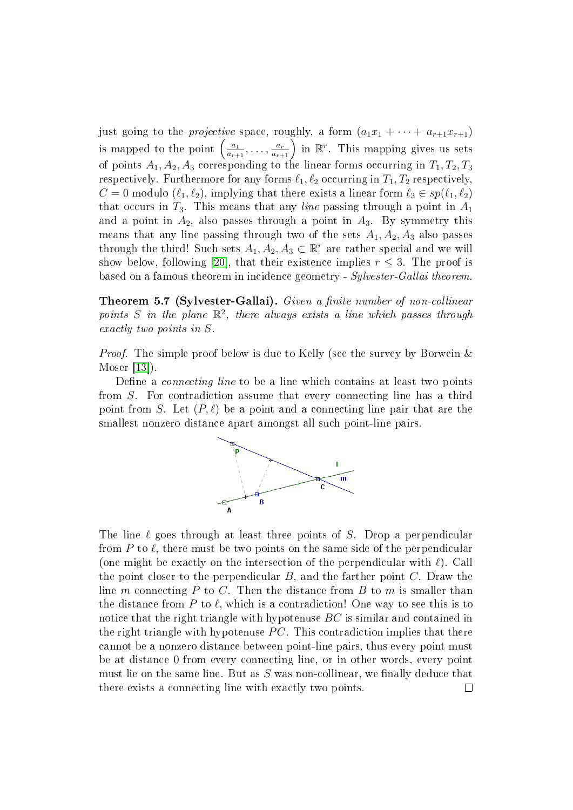just going to the *projective* space, roughly, a form  $(a_1x_1 + \cdots + a_{r+1}x_{r+1})$ is mapped to the point  $\left(\frac{a_1}{a_1}\right)$  $\frac{a_1}{a_{r+1}}, \ldots, \frac{a_r}{a_{r+1}}$  in  $\mathbb{R}^r$ . This mapping gives us sets of points  $A_1, A_2, A_3$  corresponding to the linear forms occurring in  $T_1, T_2, T_3$ respectively. Furthermore for any forms  $\ell_1, \ell_2$  occurring in  $T_1, T_2$  respectively,  $C = 0$  modulo  $(\ell_1, \ell_2)$ , implying that there exists a linear form  $\ell_3 \in sp(\ell_1, \ell_2)$ that occurs in  $T_3$ . This means that any *line* passing through a point in  $A_1$ and a point in  $A_2$ , also passes through a point in  $A_3$ . By symmetry this means that any line passing through two of the sets  $A_1, A_2, A_3$  also passes through the third! Such sets  $A_1, A_2, A_3 \subset \mathbb{R}^r$  are rather special and we will show below, following [\[20\]](#page-27-9), that their existence implies  $r \leq 3$ . The proof is based on a famous theorem in incidence geometry - Sylvester-Gallai theorem.

<span id="page-18-0"></span>Theorem 5.7 (Sylvester-Gallai). Given a finite number of non-collinear points S in the plane  $\mathbb{R}^2$ , there always exists a line which passes through exactly two points in S.

*Proof.* The simple proof below is due to Kelly (see the survey by Borwein & Moser [\[13\]](#page-26-7)).

Define a *connecting line* to be a line which contains at least two points from S. For contradiction assume that every connecting line has a third point from S. Let  $(P, \ell)$  be a point and a connecting line pair that are the smallest nonzero distance apart amongst all such point-line pairs.



The line  $\ell$  goes through at least three points of S. Drop a perpendicular from P to  $\ell$ , there must be two points on the same side of the perpendicular (one might be exactly on the intersection of the perpendicular with  $\ell$ ). Call the point closer to the perpendicular  $B$ , and the farther point  $C$ . Draw the line m connecting  $P$  to  $C$ . Then the distance from  $B$  to  $m$  is smaller than the distance from P to  $\ell$ , which is a contradiction! One way to see this is to notice that the right triangle with hypotenuse  $BC$  is similar and contained in the right triangle with hypotenuse  $PC$ . This contradiction implies that there cannot be a nonzero distance between point-line pairs, thus every point must be at distance 0 from every connecting line, or in other words, every point must lie on the same line. But as  $S$  was non-collinear, we finally deduce that there exists a connecting line with exactly two points. $\Box$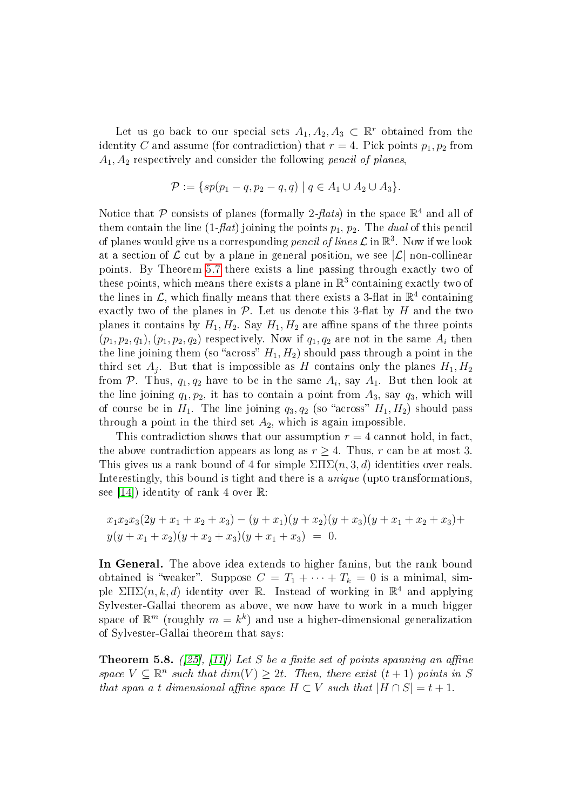Let us go back to our special sets  $A_1, A_2, A_3 \subset \mathbb{R}^r$  obtained from the identity C and assume (for contradiction) that  $r = 4$ . Pick points  $p_1, p_2$  from  $A_1, A_2$  respectively and consider the following *pencil of planes*,

$$
\mathcal{P} := \{ sp(p_1 - q, p_2 - q, q) \mid q \in A_1 \cup A_2 \cup A_3 \}.
$$

Notice that  $P$  consists of planes (formally 2-*flats*) in the space  $\mathbb{R}^4$  and all of them contain the line  $(1-flat)$  joining the points  $p_1, p_2$ . The *dual* of this pencil of planes would give us a corresponding  $pencil$  of lines  $\mathcal L$  in  $\mathbb R^3$ . Now if we look at a section of  $\mathcal L$  cut by a plane in general position, we see  $|\mathcal L|$  non-collinear points. By Theorem [5.7](#page-18-0) there exists a line passing through exactly two of these points, which means there exists a plane in  $\mathbb{R}^3$  containing exactly two of the lines in  $\mathcal{L}$ , which finally means that there exists a 3-flat in  $\mathbb{R}^4$  containing exactly two of the planes in  $P$ . Let us denote this 3-flat by H and the two planes it contains by  $H_1, H_2$ . Say  $H_1, H_2$  are affine spans of the three points  $(p_1, p_2, q_1), (p_1, p_2, q_2)$  respectively. Now if  $q_1, q_2$  are not in the same  $A_i$  then the line joining them (so "across"  $H_1, H_2$ ) should pass through a point in the third set  $A_j$ . But that is impossible as H contains only the planes  $H_1, H_2$ from  ${\cal P}.$  Thus,  $q_1,q_2$  have to be in the same  $A_i,$  say  $A_1.$  But then look at the line joining  $q_1, p_2$ , it has to contain a point from  $A_3$ , say  $q_3$ , which will of course be in  $H_1$ . The line joining  $q_3, q_2$  (so "across"  $H_1, H_2$ ) should pass through a point in the third set  $A_2$ , which is again impossible.

This contradiction shows that our assumption  $r = 4$  cannot hold, in fact, the above contradiction appears as long as  $r > 4$ . Thus, r can be at most 3. This gives us a rank bound of 4 for simple  $\Sigma\Pi\Sigma(n,3,d)$  identities over reals. Interestingly, this bound is tight and there is a *unique* (upto transformations, see [\[14\]](#page-26-10)) identity of rank 4 over  $\mathbb{R}$ :

$$
x_1x_2x_3(2y + x_1 + x_2 + x_3) - (y + x_1)(y + x_2)(y + x_3)(y + x_1 + x_2 + x_3) +
$$
  

$$
y(y + x_1 + x_2)(y + x_2 + x_3)(y + x_1 + x_3) = 0.
$$

In General. The above idea extends to higher fanins, but the rank bound obtained is "weaker". Suppose  $C = T_1 + \cdots + T_k = 0$  is a minimal, simple  $\Sigma\Pi\Sigma(n,k,d)$  identity over R. Instead of working in  $\mathbb{R}^4$  and applying Sylvester-Gallai theorem as above, we now have to work in a much bigger space of  $\mathbb{R}^m$  (roughly  $m = k^k$ ) and use a higher-dimensional generalization of Sylvester-Gallai theorem that says:

<span id="page-19-0"></span>**Theorem 5.8.** ([\[25\]](#page-27-10), [\[11\]](#page-26-11)) Let S be a finite set of points spanning an affine space  $V \subseteq \mathbb{R}^n$  such that  $\dim(V) \geq 2t$ . Then, there exist  $(t+1)$  points in S that span a t dimensional affine space  $H \subset V$  such that  $|H \cap S| = t + 1$ .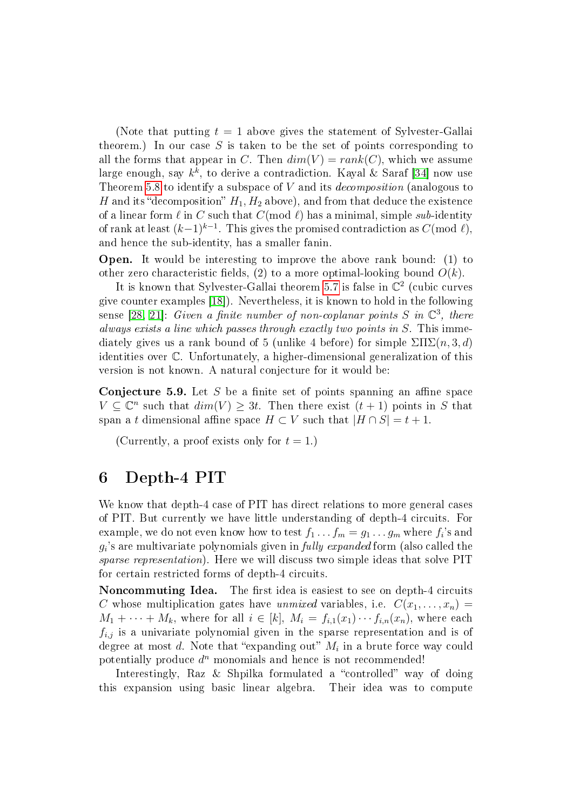(Note that putting  $t = 1$  above gives the statement of Sylvester-Gallai theorem.) In our case S is taken to be the set of points corresponding to all the forms that appear in C. Then  $dim(V) = rank(C)$ , which we assume large enough, say  $k^k$ , to derive a contradiction. Kayal & Saraf [\[34\]](#page-28-10) now use Theorem [5.8](#page-19-0) to identify a subspace of  $V$  and its *decomposition* (analogous to H and its "decomposition"  $H_1, H_2$  above), and from that deduce the existence of a linear form  $\ell$  in C such that  $C(\text{mod } \ell)$  has a minimal, simple sub-identity of rank at least  $(k-1)^{k-1}$ . This gives the promised contradiction as  $C(\text{mod }\ell),$ and hence the sub-identity, has a smaller fanin.

Open. It would be interesting to improve the above rank bound: (1) to other zero characteristic fields, (2) to a more optimal-looking bound  $O(k)$ .

It is known that Sylvester-Gallai theorem [5.7](#page-18-0) is false in  $\mathbb{C}^2$  (cubic curves give counter examples [\[18\]](#page-27-11)). Nevertheless, it is known to hold in the following sense [\[28,](#page-27-12) [21\]](#page-27-13): Given a finite number of non-coplanar points S in  $\mathbb{C}^3$ , there always exists a line which passes through exactly two points in S. This immediately gives us a rank bound of 5 (unlike 4 before) for simple  $\Sigma\Pi\Sigma(n,3,d)$ identities over C. Unfortunately, a higher-dimensional generalization of this version is not known. A natural conjecture for it would be:

**Conjecture 5.9.** Let  $S$  be a finite set of points spanning an affine space  $V \subseteq \mathbb{C}^n$  such that  $dim(V) \geq 3t$ . Then there exist  $(t + 1)$  points in S that span a t dimensional affine space  $H \subset V$  such that  $|H \cap S| = t + 1$ .

(Currently, a proof exists only for  $t = 1$ .)

### 6 Depth-4 PIT

We know that depth-4 case of PIT has direct relations to more general cases of PIT. But currently we have little understanding of depth-4 circuits. For example, we do not even know how to test  $f_1 \dots f_m = g_1 \dots g_m$  where  $f_i$ 's and  $g_i$ 's are multivariate polynomials given in  $\emph{fully expanded}$  form (also called the sparse representation). Here we will discuss two simple ideas that solve PIT for certain restricted forms of depth-4 circuits.

Noncommuting Idea. The first idea is easiest to see on depth-4 circuits C whose multiplication gates have unmixed variables, i.e.  $C(x_1, \ldots, x_n) =$  $M_1 + \cdots + M_k$ , where for all  $i \in [k]$ ,  $M_i = f_{i,1}(x_1) \cdots f_{i,n}(x_n)$ , where each  $f_{i,j}$  is a univariate polynomial given in the sparse representation and is of degree at most  $d.$  Note that "expanding out"  $M_i$  in a brute force way could potentially produce  $d^n$  monomials and hence is not recommended!

Interestingly, Raz & Shpilka formulated a "controlled" way of doing this expansion using basic linear algebra. Their idea was to compute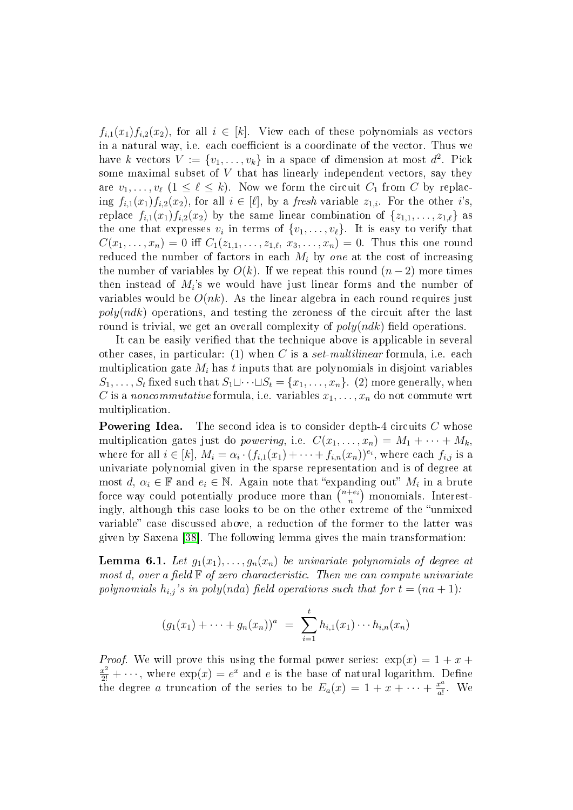$f_{i,1}(x_1)f_{i,2}(x_2)$ , for all  $i \in [k]$ . View each of these polynomials as vectors in a natural way, i.e. each coefficient is a coordinate of the vector. Thus we have k vectors  $V := \{v_1, \ldots, v_k\}$  in a space of dimension at most  $d^2$ . Pick some maximal subset of  $V$  that has linearly independent vectors, say they are  $v_1, \ldots, v_\ell$   $(1 \leq \ell \leq k)$ . Now we form the circuit  $C_1$  from C by replacing  $f_{i,1}(x_1)f_{i,2}(x_2)$ , for all  $i \in [\ell]$ , by a *fresh* variable  $z_{1,i}$ . For the other i's, replace  $f_{i,1}(x_1)f_{i,2}(x_2)$  by the same linear combination of  $\{z_{1,1}, \ldots, z_{1,\ell}\}\$  as the one that expresses  $v_i$  in terms of  $\{v_1, \ldots, v_\ell\}$ . It is easy to verify that  $C(x_1, \ldots, x_n) = 0$  iff  $C_1(z_{1,1}, \ldots, z_{1,\ell}, x_3, \ldots, x_n) = 0$ . Thus this one round reduced the number of factors in each  $M_i$  by one at the cost of increasing the number of variables by  $O(k)$ . If we repeat this round  $(n-2)$  more times then instead of  $M_i$ 's we would have just linear forms and the number of variables would be  $O(nk)$ . As the linear algebra in each round requires just  $poly(ndk)$  operations, and testing the zeroness of the circuit after the last round is trivial, we get an overall complexity of  $poly(ndk)$  field operations.

It can be easily verified that the technique above is applicable in several other cases, in particular: (1) when C is a set-multilinear formula, i.e. each multiplication gate  $M_i$  has t inputs that are polynomials in disjoint variables  $S_1, \ldots, S_t$  fixed such that  $S_1 \sqcup \cdots \sqcup S_t = \{x_1, \ldots, x_n\}$ . (2) more generally, when C is a noncommutative formula, i.e. variables  $x_1, \ldots, x_n$  do not commute wrt multiplication.

**Powering Idea.** The second idea is to consider depth-4 circuits C whose multiplication gates just do *powering*, i.e.  $C(x_1, \ldots, x_n) = M_1 + \cdots + M_k$ where for all  $i \in [k]$ ,  $M_i = \alpha_i \cdot (f_{i,1}(x_1) + \cdots + f_{i,n}(x_n))^{e_i}$ , where each  $f_{i,j}$  is a univariate polynomial given in the sparse representation and is of degree at most  $d, \alpha_i \in \mathbb{F}$  and  $e_i \in \mathbb{N}$ . Again note that "expanding out"  $M_i$  in a brute force way could potentially produce more than  $\binom{n+e_i}{n}$  $\binom{+e_i}{n}$  monomials. Interestingly, although this case looks to be on the other extreme of the "unmixed" variable" case discussed above, a reduction of the former to the latter was given by Saxena [\[38\]](#page-28-9). The following lemma gives the main transformation:

<span id="page-21-0"></span>**Lemma 6.1.** Let  $g_1(x_1), \ldots, g_n(x_n)$  be univariate polynomials of degree at most d, over a field  $\mathbb F$  of zero characteristic. Then we can compute univariate polynomials  $h_{i,j}$ 's in poly(nda) field operations such that for  $t = (na + 1)$ :

$$
(g_1(x_1) + \cdots + g_n(x_n))^a = \sum_{i=1}^t h_{i,1}(x_1) \cdots h_{i,n}(x_n)
$$

*Proof.* We will prove this using the formal power series:  $\exp(x) = 1 + x +$  $\frac{x^2}{2!} + \cdots$ , where  $\exp(x) = e^x$  and e is the base of natural logarithm. Define the degree a truncation of the series to be  $E_a(x) = 1 + x + \cdots + \frac{x^a}{a!}$  $\frac{x^a}{a!}$ . We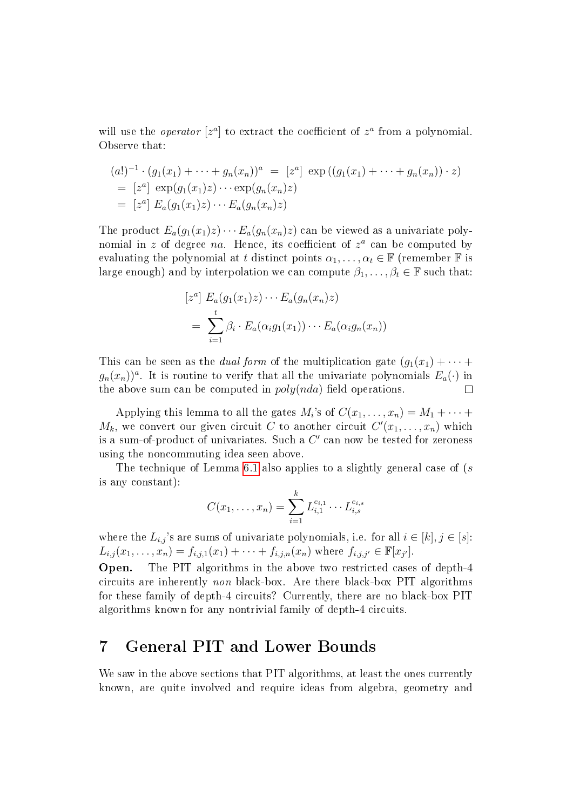will use the *operator*  $[z^a]$  to extract the coefficient of  $z^a$  from a polynomial. Observe that:

$$
(a!)^{-1} \cdot (g_1(x_1) + \dots + g_n(x_n))^a = [z^a] \exp((g_1(x_1) + \dots + g_n(x_n)) \cdot z)
$$
  
= [z^a] \exp(g\_1(x\_1)z) \cdots \exp(g\_n(x\_n)z)  
= [z^a] E\_a(g\_1(x\_1)z) \cdots E\_a(g\_n(x\_n)z)

The product  $E_a(g_1(x_1)z)\cdots E_a(g_n(x_n)z)$  can be viewed as a univariate polynomial in z of degree na. Hence, its coefficient of  $z^a$  can be computed by evaluating the polynomial at t distinct points  $\alpha_1, \ldots, \alpha_t \in \mathbb{F}$  (remember  $\mathbb F$  is large enough) and by interpolation we can compute  $\beta_1, \ldots, \beta_t \in \mathbb{F}$  such that:

$$
[za] Ea(g1(x1)z) \cdots Ea(gn(xn)z)
$$
  
= 
$$
\sum_{i=1}^{t} \beta_i \cdot E_a(\alpha_i g_1(x_1)) \cdots E_a(\alpha_i g_n(x_n))
$$

This can be seen as the *dual form* of the multiplication gate  $(g_1(x_1) + \cdots +$  $g_n(x_n)$ <sup>a</sup>. It is routine to verify that all the univariate polynomials  $E_a(\cdot)$  in the above sum can be computed in  $poly(nda)$  field operations. П

Applying this lemma to all the gates  $M_i$ 's of  $C(x_1, \ldots, x_n) = M_1 + \cdots +$  $M_k$ , we convert our given circuit C to another circuit  $C'(x_1, \ldots, x_n)$  which is a sum-of-product of univariates. Such a  $C'$  can now be tested for zeroness using the noncommuting idea seen above.

The technique of Lemma [6.1](#page-21-0) also applies to a slightly general case of  $(s)$ is any constant):

$$
C(x_1, \ldots, x_n) = \sum_{i=1}^k L_{i,1}^{e_{i,1}} \cdots L_{i,s}^{e_{i,s}}
$$

where the  $L_{i,j}$ 's are sums of univariate polynomials, i.e. for all  $i \in [k], j \in [s]$ :  $L_{i,j}(x_1,\ldots,x_n) = f_{i,j,1}(x_1) + \cdots + f_{i,j,n}(x_n)$  where  $f_{i,j,j'} \in \mathbb{F}[x_{j'}].$ 

Open. The PIT algorithms in the above two restricted cases of depth-4 circuits are inherently non black-box. Are there black-box PIT algorithms for these family of depth-4 circuits? Currently, there are no black-box PIT algorithms known for any nontrivial family of depth-4 circuits.

### <span id="page-22-0"></span>7 General PIT and Lower Bounds

We saw in the above sections that PIT algorithms, at least the ones currently known, are quite involved and require ideas from algebra, geometry and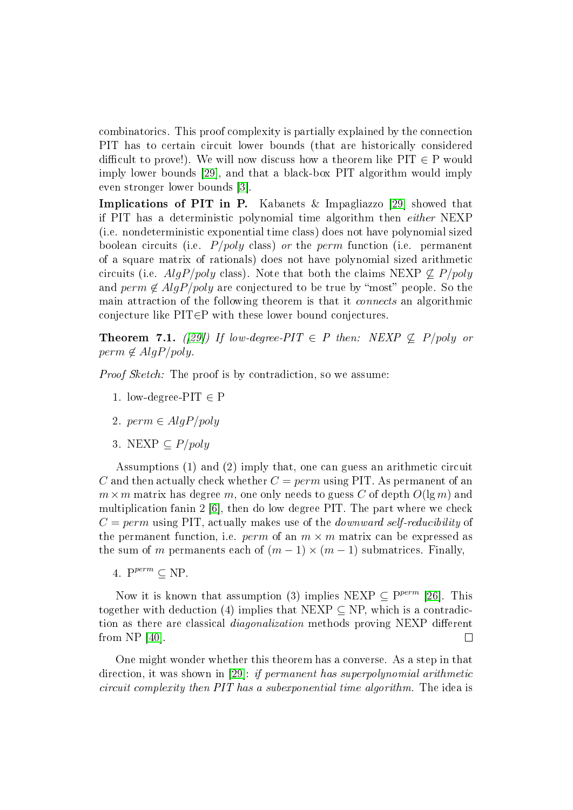combinatorics. This proof complexity is partially explained by the connection PIT has to certain circuit lower bounds (that are historically considered difficult to prove!). We will now discuss how a theorem like  $PIT \in P$  would imply lower bounds [\[29\]](#page-27-6), and that a black-box PIT algorithm would imply even stronger lower bounds [\[3\]](#page-26-4).

Implications of PIT in P. Kabanets & Impagliazzo [\[29\]](#page-27-6) showed that if PIT has a deterministic polynomial time algorithm then either NEXP (i.e. nondeterministic exponential time class) does not have polynomial sized boolean circuits (i.e.  $P/poly$  class) or the perm function (i.e. permanent of a square matrix of rationals) does not have polynomial sized arithmetic circuits (i.e.  $AlqP/poly$  class). Note that both the claims NEXP  $\not\subseteq P/poly$ and perm  $\notin AlgP/poly$  are conjectured to be true by "most" people. So the main attraction of the following theorem is that it connects an algorithmic conjecture like PIT∈P with these lower bound conjectures.

**Theorem 7.1.** ([\[29\]](#page-27-6)) If low-degree-PIT  $\in$  P then: NEXP  $\nsubseteq$  P/poly or  $perm \notin AlgP/poly$ .

*Proof Sketch:* The proof is by contradiction, so we assume:

- 1. low-degree-PIT  $\in$  P
- 2.  $perm \in AlgP/poly$
- 3. NEXP  $\subseteq P/poly$

Assumptions (1) and (2) imply that, one can guess an arithmetic circuit C and then actually check whether  $C = perm$  using PIT. As permanent of an  $m \times m$  matrix has degree m, one only needs to guess C of depth  $O(\lg m)$  and multiplication fanin 2 [\[6\]](#page-26-9), then do low degree PIT. The part where we check  $C = perm$  using PIT, actually makes use of the *downward self-reducibility* of the permanent function, i.e. perm of an  $m \times m$  matrix can be expressed as the sum of m permanents each of  $(m-1) \times (m-1)$  submatrices. Finally,

4.  $P^{perm} \subseteq NP$ .

Now it is known that assumption (3) implies NEXP  $\subseteq$  P<sup>perm</sup> [\[26\]](#page-27-14). This together with deduction (4) implies that NEXP  $\subseteq$  NP, which is a contradiction as there are classical *diagonalization* methods proving NEXP different from NP [\[40\]](#page-28-13).  $\Box$ 

One might wonder whether this theorem has a converse. As a step in that direction, it was shown in [\[29\]](#page-27-6): if permanent has superpolynomial arithmetic circuit complexity then PIT has a subexponential time algorithm. The idea is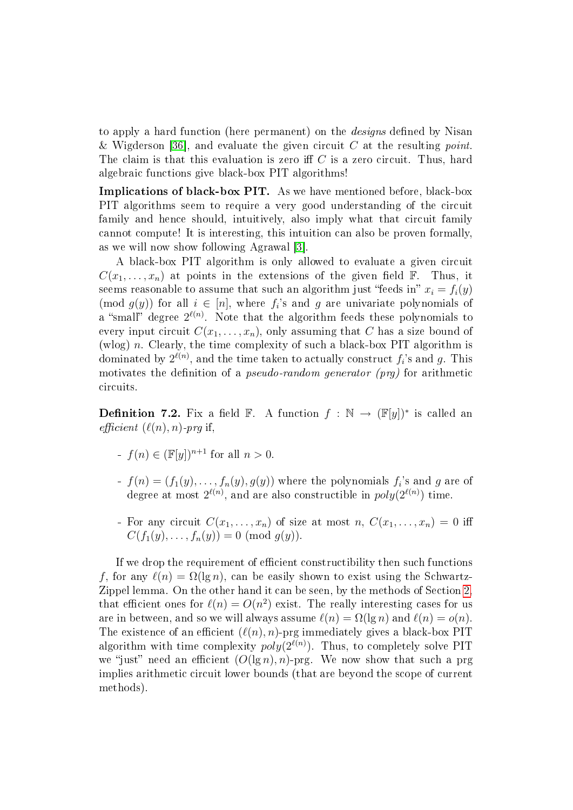to apply a hard function (here permanent) on the *designs* defined by Nisan & Wigderson [\[36\]](#page-28-14), and evaluate the given circuit C at the resulting point. The claim is that this evaluation is zero iff  $C$  is a zero circuit. Thus, hard algebraic functions give black-box PIT algorithms!

Implications of black-box PIT. As we have mentioned before, black-box PIT algorithms seem to require a very good understanding of the circuit family and hence should, intuitively, also imply what that circuit family cannot compute! It is interesting, this intuition can also be proven formally, as we will now show following Agrawal [\[3\]](#page-26-4).

A black-box PIT algorithm is only allowed to evaluate a given circuit  $C(x_1, \ldots, x_n)$  at points in the extensions of the given field  $\mathbb{F}$ . Thus, it seems reasonable to assume that such an algorithm just "feeds in"  $x_i = f_i(y)$ (mod  $g(y)$ ) for all  $i \in [n]$ , where  $f_i$ 's and g are univariate polynomials of a "small" degree  $2^{\ell(n)}$ . Note that the algorithm feeds these polynomials to every input circuit  $C(x_1, \ldots, x_n)$ , only assuming that C has a size bound of (wlog)  $n$ . Clearly, the time complexity of such a black-box PIT algorithm is dominated by  $2^{\ell(n)}$ , and the time taken to actually construct  $f_i$ 's and  $g$ . This motivates the definition of a *pseudo-random generator*  $(prg)$  for arithmetic circuits.

**Definition 7.2.** Fix a field  $\mathbb{F}$ . A function  $f : \mathbb{N} \to (\mathbb{F}[y])^*$  is called an efficient  $(\ell(n), n)$ -prg if,

- $f(n) \in (\mathbb{F}[y])^{n+1}$  for all  $n > 0$ .
- $f(n) = (f_1(y), \ldots, f_n(y), g(y))$  where the polynomials  $f_i$ 's and  $g$  are of degree at most  $2^{\ell(n)}$ , and are also constructible in  $poly(2^{\ell(n)})$  time.
- For any circuit  $C(x_1, \ldots, x_n)$  of size at most  $n, C(x_1, \ldots, x_n) = 0$  iff  $C(f_1(y), \ldots, f_n(y)) = 0 \pmod{g(y)}$ .

If we drop the requirement of efficient constructibility then such functions f, for any  $\ell(n) = \Omega(\lg n)$ , can be easily shown to exist using the Schwartz-Zippel lemma. On the other hand it can be seen, by the methods of Section [2,](#page-7-1) that efficient ones for  $\ell(n) = O(n^2)$  exist. The really interesting cases for us are in between, and so we will always assume  $\ell(n) = \Omega(\lg n)$  and  $\ell(n) = o(n)$ . The existence of an efficient  $(\ell(n), n)$ -prg immediately gives a black-box PIT algorithm with time complexity  $poly(2^{\ell(n)})$ . Thus, to completely solve PIT we "just" need an efficient  $(O(\lg n), n)$ -prg. We now show that such a prg implies arithmetic circuit lower bounds (that are beyond the scope of current methods).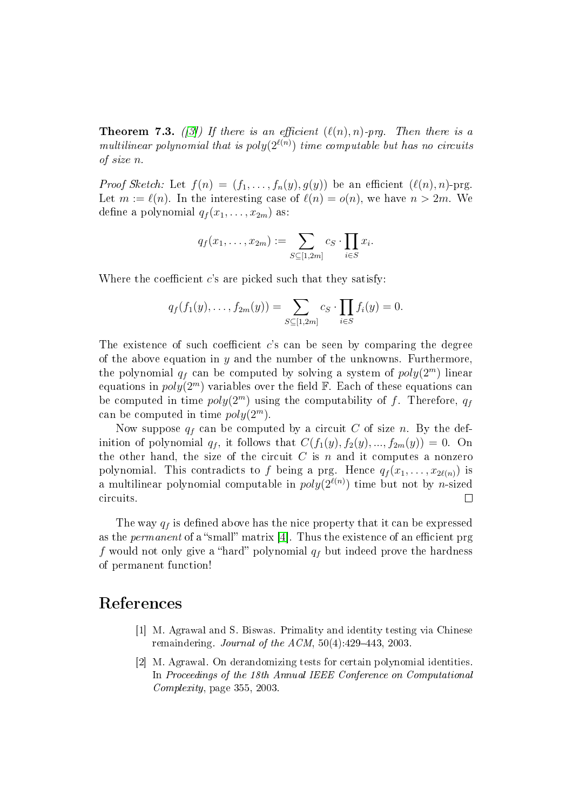**Theorem 7.3.** ([\[3\]](#page-26-4)) If there is an efficient  $(\ell(n), n)$ -prg. Then there is a multilinear polynomial that is  $poly(2^{\ell(n)})$  time computable but has no circuits of size n.

*Proof Sketch:* Let  $f(n) = (f_1, \ldots, f_n(y), g(y))$  be an efficient  $(\ell(n), n)$ -prg. Let  $m := \ell(n)$ . In the interesting case of  $\ell(n) = o(n)$ , we have  $n > 2m$ . We define a polynomial  $q_f(x_1, \ldots, x_{2m})$  as:

$$
q_f(x_1,\ldots,x_{2m}):=\sum_{S\subseteq[1,2m]}c_S\cdot\prod_{i\in S}x_i.
$$

Where the coefficient  $c$ 's are picked such that they satisfy:

$$
q_f(f_1(y),...,f_{2m}(y)) = \sum_{S \subseteq [1,2m]} c_S \cdot \prod_{i \in S} f_i(y) = 0.
$$

The existence of such coefficient  $c$ 's can be seen by comparing the degree of the above equation in  $y$  and the number of the unknowns. Furthermore, the polynomial  $q_f$  can be computed by solving a system of  $poly(2^m)$  linear equations in  $poly(2<sup>m</sup>)$  variables over the field  $\mathbb{F}$ . Each of these equations can be computed in time  $poly(2<sup>m</sup>)$  using the computability of f. Therefore,  $q_f$ can be computed in time  $poly(2<sup>m</sup>)$ .

Now suppose  $q_f$  can be computed by a circuit C of size n. By the definition of polynomial  $q_f$ , it follows that  $C(f_1(y), f_2(y), ..., f_{2m}(y)) = 0$ . On the other hand, the size of the circuit  $C$  is n and it computes a nonzero polynomial. This contradicts to f being a prg. Hence  $q_f(x_1, \ldots, x_{2\ell(n)})$  is a multilinear polynomial computable in  $poly(2^{\ell(n)})$  time but not by *n*-sized circuits.  $\Box$ 

The way  $q_f$  is defined above has the nice property that it can be expressed as the *permanent* of a "small" matrix [\[4\]](#page-26-12). Thus the existence of an efficient prg f would not only give a "hard" polynomial  $q_f$  but indeed prove the hardness of permanent function!

#### <span id="page-25-0"></span>References

- [1] M. Agrawal and S. Biswas. Primality and identity testing via Chinese remaindering. Journal of the  $ACM$ ,  $50(4)$ : 429-443, 2003.
- <span id="page-25-1"></span>[2] M. Agrawal. On derandomizing tests for certain polynomial identities. In Proceedings of the 18th Annual IEEE Conference on Computational Complexity, page 355, 2003.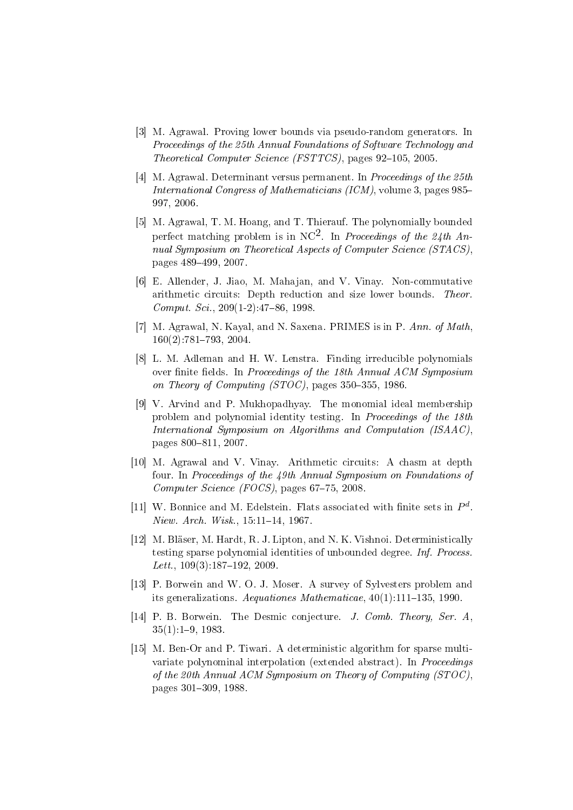- <span id="page-26-4"></span>[3] M. Agrawal. Proving lower bounds via pseudo-random generators. In Proceedings of the 25th Annual Foundations of Software Technology and Theoretical Computer Science (FSTTCS), pages  $92-105$ , 2005.
- <span id="page-26-12"></span>[4] M. Agrawal. Determinant versus permanent. In Proceedings of the 25th International Congress of Mathematicians (ICM), volume 3, pages 985 997, 2006.
- <span id="page-26-1"></span>[5] M. Agrawal, T. M. Hoang, and T. Thierauf. The polynomially bounded perfect matching problem is in NC<sup>2</sup>. In Proceedings of the 24th Annual Symposium on Theoretical Aspects of Computer Science (STACS). pages 489499, 2007.
- <span id="page-26-9"></span>[6] E. Allender, J. Jiao, M. Mahajan, and V. Vinay. Non-commutative arithmetic circuits: Depth reduction and size lower bounds. Theor.  $Comput. Sci.$ ,  $209(1-2):47-86$ , 1998.
- <span id="page-26-2"></span>[7] M. Agrawal, N. Kayal, and N. Saxena. PRIMES is in P. Ann. of Math.  $160(2)$ : 781–793, 2004.
- <span id="page-26-0"></span>[8] L. M. Adleman and H. W. Lenstra. Finding irreducible polynomials over finite fields. In Proceedings of the 18th Annual ACM Symposium on Theory of Computing  $(STOC)$ , pages 350-355, 1986.
- <span id="page-26-6"></span>[9] V. Arvind and P. Mukhopadhyay. The monomial ideal membership problem and polynomial identity testing. In Proceedings of the 18th International Symposium on Algorithms and Computation (ISAAC), pages 800-811, 2007.
- <span id="page-26-5"></span>[10] M. Agrawal and V. Vinay. Arithmetic circuits: A chasm at depth four. In Proceedings of the 49th Annual Symposium on Foundations of Computer Science (FOCS), pages  $67-75$ , 2008.
- <span id="page-26-11"></span>[11] W. Bonnice and M. Edelstein. Flats associated with finite sets in  $P<sup>d</sup>$ .  $Niew.$  Arch. Wisk.,  $15:11-14$ , 1967.
- <span id="page-26-8"></span>[12] M. Bläser, M. Hardt, R. J. Lipton, and N. K. Vishnoi. Deterministically testing sparse polynomial identities of unbounded degree. Inf. Process. Lett.,  $109(3):187-192$ ,  $2009$ .
- <span id="page-26-7"></span>[13] P. Borwein and W. O. J. Moser. A survey of Sylvesters problem and its generalizations. Aequationes Mathematicae,  $40(1)$ :111-135, 1990.
- <span id="page-26-10"></span>[14] P. B. Borwein. The Desmic conjecture. J. Comb. Theory, Ser. A, 35(1):19, 1983.
- <span id="page-26-3"></span>[15] M. Ben-Or and P. Tiwari. A deterministic algorithm for sparse multivariate polynominal interpolation (extended abstract). In *Proceedings* of the 20th Annual ACM Symposium on Theory of Computing (STOC), pages 301-309, 1988.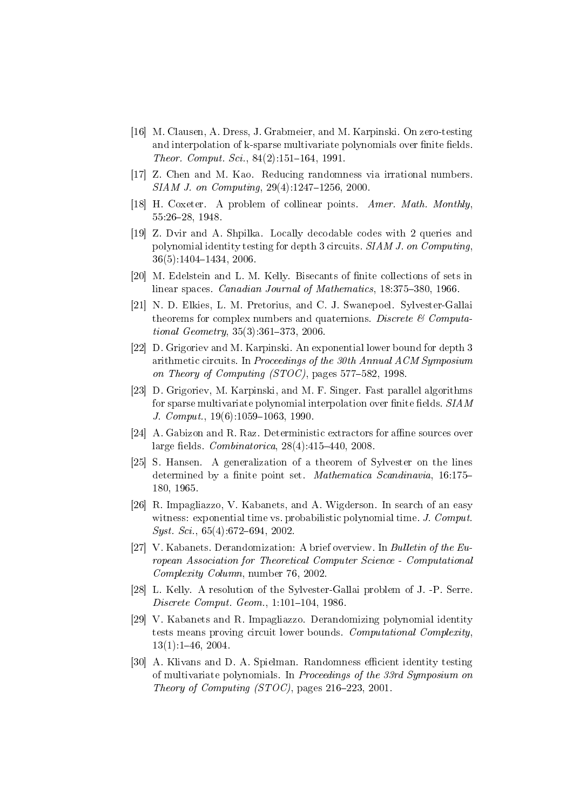- <span id="page-27-7"></span>[16] M. Clausen, A. Dress, J. Grabmeier, and M. Karpinski. On zero-testing and interpolation of k-sparse multivariate polynomials over finite fields. Theor. Comput. Sci.,  $84(2):151-164$ , 1991.
- <span id="page-27-0"></span>[17] Z. Chen and M. Kao. Reducing randomness via irrational numbers.  $SIAM$  J. on Computing,  $29(4):1247-1256$ ,  $2000$ .
- <span id="page-27-11"></span>[18] H. Coxeter. A problem of collinear points. Amer. Math. Monthly, 55:2628, 1948.
- <span id="page-27-5"></span>[19] Z. Dvir and A. Shpilka. Locally decodable codes with 2 queries and polynomial identity testing for depth 3 circuits. SIAM J. on Computing,  $36(5):1404-1434, 2006.$
- <span id="page-27-9"></span>[20] M. Edelstein and L. M. Kelly. Bisecants of finite collections of sets in linear spaces. Canadian Journal of Mathematics, 18:375-380, 1966.
- <span id="page-27-13"></span>[21] N. D. Elkies, L. M. Pretorius, and C. J. Swanepoel. Sylvester-Gallai theorems for complex numbers and quaternions. Discrete  $\mathcal C$  Computational  $Geometry, 35(3):361-373, 2006$
- <span id="page-27-4"></span>[22] D. Grigoriev and M. Karpinski. An exponential lower bound for depth 3 arithmetic circuits. In Proceedings of the 30th Annual ACM Symposium on Theory of Computing  $(TOC)$ , pages 577-582, 1998.
- <span id="page-27-2"></span>[23] D. Grigoriev, M. Karpinski, and M. F. Singer. Fast parallel algorithms for sparse multivariate polynomial interpolation over finite fields.  $SIAM$ J. Comput.,  $19(6)$ :  $1059-1063$ , 1990.
- <span id="page-27-8"></span>[24] A. Gabizon and R. Raz. Deterministic extractors for affine sources over large fields.  $Combinatorica$ ,  $28(4):415-440$ ,  $2008$ .
- <span id="page-27-10"></span>[25] S. Hansen. A generalization of a theorem of Sylvester on the lines determined by a finite point set. Mathematica Scandinavia, 16:175– 180, 1965.
- <span id="page-27-14"></span>[26] R. Impagliazzo, V. Kabanets, and A. Wigderson. In search of an easy witness: exponential time vs. probabilistic polynomial time. J. Comput.  $Syst. Sci.$ , 65(4):672-694, 2002.
- <span id="page-27-1"></span>[27] V. Kabanets. Derandomization: A brief overview. In Bulletin of the European Association for Theoretical Computer Science - Computational Complexity Column, number 76, 2002.
- <span id="page-27-12"></span>[28] L. Kelly. A resolution of the Sylvester-Gallai problem of J. -P. Serre.  $Discrete \ Comput. \ Geom. 1: 101-104, 1986.$
- <span id="page-27-6"></span>[29] V. Kabanets and R. Impagliazzo. Derandomizing polynomial identity tests means proving circuit lower bounds. Computational Complexity, 13(1):146, 2004.
- <span id="page-27-3"></span>[30] A. Klivans and D. A. Spielman. Randomness efficient identity testing of multivariate polynomials. In Proceedings of the 33rd Symposium on Theory of Computing  $(TOC)$ , pages 216-223, 2001.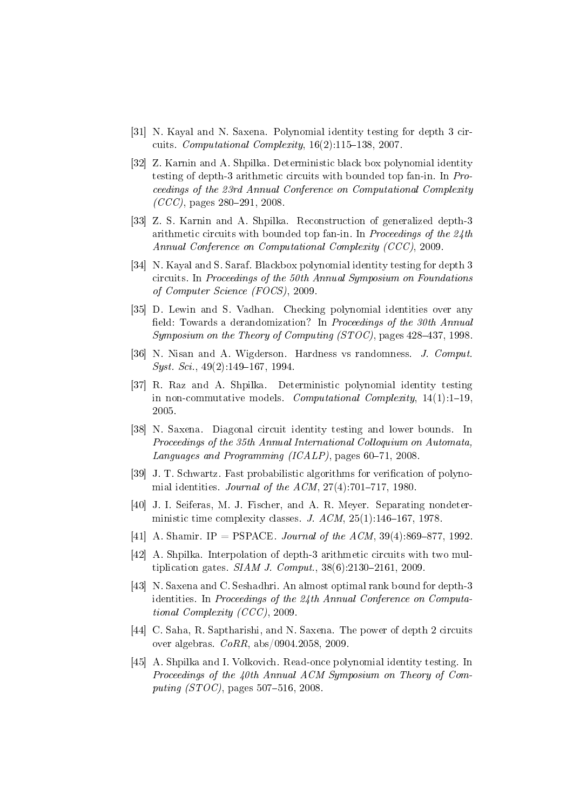- <span id="page-28-7"></span>[31] N. Kayal and N. Saxena. Polynomial identity testing for depth 3 circuits. *Computational Complexity*,  $16(2)$ :115–138, 2007.
- <span id="page-28-8"></span>[32] Z. Karnin and A. Shpilka. Deterministic black box polynomial identity testing of depth-3 arithmetic circuits with bounded top fan-in. In Proceedings of the 23rd Annual Conference on Computational Complexity  $(CCC)$ , pages 280-291, 2008.
- <span id="page-28-6"></span>[33] Z. S. Karnin and A. Shpilka. Reconstruction of generalized depth-3 arithmetic circuits with bounded top fan-in. In Proceedings of the  $24$ th Annual Conference on Computational Complexity (CCC), 2009.
- <span id="page-28-10"></span>[34] N. Kayal and S. Saraf. Blackbox polynomial identity testing for depth 3 circuits. In Proceedings of the 50th Annual Symposium on Foundations of Computer Science (FOCS), 2009.
- <span id="page-28-1"></span>[35] D. Lewin and S. Vadhan. Checking polynomial identities over any field: Towards a derandomization? In Proceedings of the 30th Annual Symposium on the Theory of Computing  $(TOC)$ , pages 428-437, 1998.
- <span id="page-28-14"></span>[36] N. Nisan and A. Wigderson. Hardness vs randomness. *J. Comput.*  $Syst. Sci.$ , 49(2):149-167, 1994.
- <span id="page-28-12"></span>[37] R. Raz and A. Shpilka. Deterministic polynomial identity testing in non-commutative models. Computational Complexity,  $14(1):1-19$ . 2005.
- <span id="page-28-9"></span>[38] N. Saxena. Diagonal circuit identity testing and lower bounds. In Proceedings of the 35th Annual International Colloquium on Automata, Languages and Programming  $(ICALP)$ , pages 60-71, 2008.
- <span id="page-28-0"></span>[39] J. T. Schwartz. Fast probabilistic algorithms for verification of polynomial identities. Journal of the  $ACM$ ,  $27(4)$ :701-717, 1980.
- <span id="page-28-13"></span>[40] J. I. Seiferas, M. J. Fischer, and A. R. Meyer. Separating nondeterministic time complexity classes. J.  $ACM$ ,  $25(1):146-167$ , 1978.
- <span id="page-28-2"></span>[41] A. Shamir. IP = PSPACE. Journal of the ACM,  $39(4):869-877$ , 1992.
- <span id="page-28-4"></span>[42] A. Shpilka. Interpolation of depth-3 arithmetic circuits with two multiplication gates.  $SIAM J. Comput.$ ,  $38(6):2130-2161, 2009$ .
- <span id="page-28-11"></span>[43] N. Saxena and C. Seshadhri. An almost optimal rank bound for depth-3 identities. In Proceedings of the 24th Annual Conference on Computational Complexity (CCC), 2009.
- <span id="page-28-3"></span>[44] C. Saha, R. Saptharishi, and N. Saxena. The power of depth 2 circuits over algebras. CoRR, abs/0904.2058, 2009.
- <span id="page-28-5"></span>[45] A. Shpilka and I. Volkovich. Read-once polynomial identity testing. In Proceedings of the 40th Annual ACM Symposium on Theory of Computing (STOC), pages  $507-516$ , 2008.